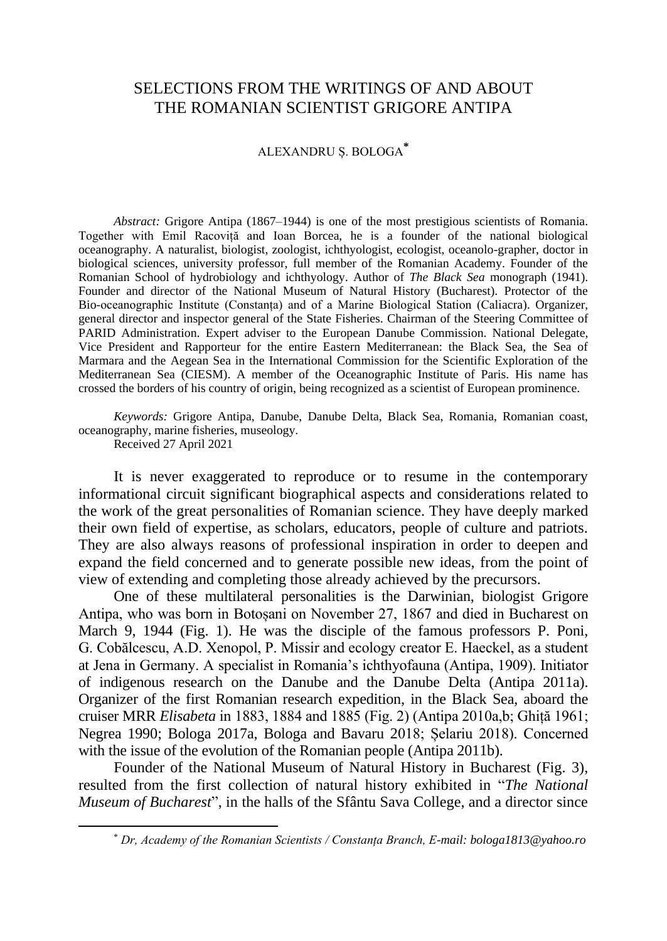## SELECTIONS FROM THE WRITINGS OF AND ABOUT THE ROMANIAN SCIENTIST GRIGORE ANTIPA

## ALEXANDRU Ș. BOLOGA**\***

*Abstract:* Grigore Antipa (1867–1944) is one of the most prestigious scientists of Romania. Together with Emil Racoviță and Ioan Borcea, he is a founder of the national biological oceanography. A naturalist, biologist, zoologist, ichthyologist, ecologist, oceanolo-grapher, doctor in biological sciences, university professor, full member of the Romanian Academy. Founder of the Romanian School of hydrobiology and ichthyology. Author of *The Black Sea* monograph (1941). Founder and director of the National Museum of Natural History (Bucharest). Protector of the Bio-oceanographic Institute (Constanța) and of a Marine Biological Station (Caliacra). Organizer, general director and inspector general of the State Fisheries. Chairman of the Steering Committee of PARID Administration. Expert adviser to the European Danube Commission. National Delegate, Vice President and Rapporteur for the entire Eastern Mediterranean: the Black Sea, the Sea of Marmara and the Aegean Sea in the International Commission for the Scientific Exploration of the Mediterranean Sea (CIESM). A member of the Oceanographic Institute of Paris. His name has crossed the borders of his country of origin, being recognized as a scientist of European prominence.

*Keywords:* Grigore Antipa, Danube, Danube Delta, Black Sea, Romania, Romanian coast, oceanography, marine fisheries, museology.

Received 27 April 2021

It is never exaggerated to reproduce or to resume in the contemporary informational circuit significant biographical aspects and considerations related to the work of the great personalities of Romanian science. They have deeply marked their own field of expertise, as scholars, educators, people of culture and patriots. They are also always reasons of professional inspiration in order to deepen and expand the field concerned and to generate possible new ideas, from the point of view of extending and completing those already achieved by the precursors.

One of these multilateral personalities is the Darwinian, biologist Grigore Antipa, who was born in Botoșani on November 27, 1867 and died in Bucharest on March 9, 1944 (Fig. 1). He was the disciple of the famous professors P. Poni, G. Cobălcescu, A.D. Xenopol, P. Missir and ecology creator E. Haeckel, as a student at Jena in Germany. A specialist in Romania's ichthyofauna (Antipa, 1909). Initiator of indigenous research on the Danube and the Danube Delta (Antipa 2011a). Organizer of the first Romanian research expedition, in the Black Sea, aboard the cruiser MRR *Elisabeta* in 1883, 1884 and 1885 (Fig. 2) (Antipa 2010a,b; Ghiță 1961; Negrea 1990; Bologa 2017a, Bologa and Bavaru 2018; Șelariu 2018). Concerned with the issue of the evolution of the Romanian people (Antipa 2011b).

Founder of the National Museum of Natural History in Bucharest (Fig. 3), resulted from the first collection of natural history exhibited in "*The National Museum of Bucharest*", in the halls of the Sfântu Sava College, and a director since

<sup>\*</sup> *Dr, Academy of the Romanian Scientists / Constanța Branch, E-mail: [bologa1813@yahoo.ro](mailto:bologa1813@yahoo.ro)*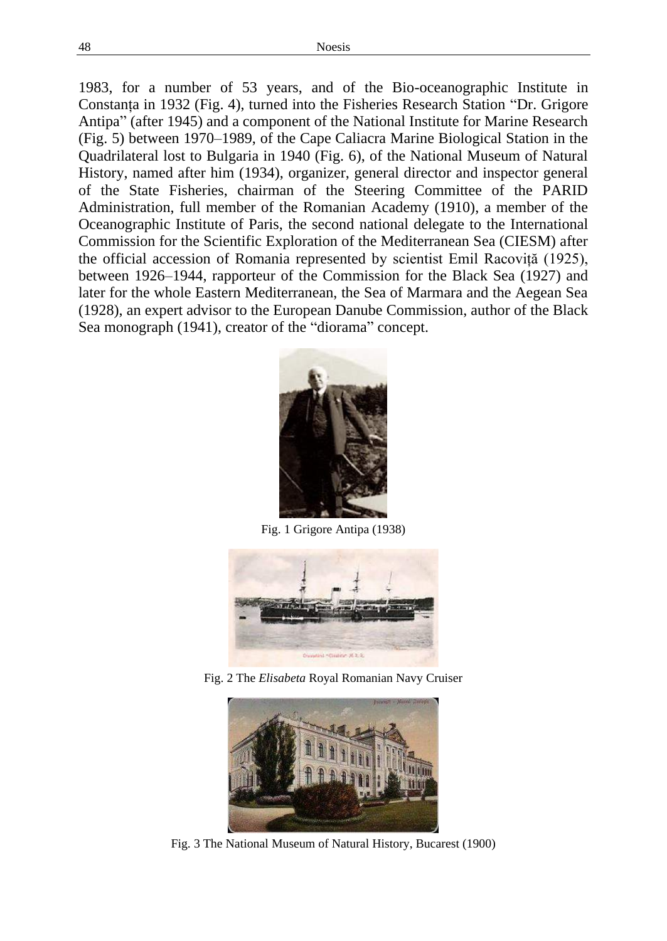1983, for a number of 53 years, and of the Bio-oceanographic Institute in Constanța in 1932 (Fig. 4), turned into the Fisheries Research Station "Dr. Grigore Antipa" (after 1945) and a component of the National Institute for Marine Research (Fig. 5) between 1970–1989, of the Cape Caliacra Marine Biological Station in the Quadrilateral lost to Bulgaria in 1940 (Fig. 6), of the National Museum of Natural History, named after him (1934), organizer, general director and inspector general of the State Fisheries, chairman of the Steering Committee of the PARID Administration, full member of the Romanian Academy (1910), a member of the Oceanographic Institute of Paris, the second national delegate to the International Commission for the Scientific Exploration of the Mediterranean Sea (CIESM) after the official accession of Romania represented by scientist Emil Racoviță (1925), between 1926–1944, rapporteur of the Commission for the Black Sea (1927) and later for the whole Eastern Mediterranean, the Sea of Marmara and the Aegean Sea (1928), an expert advisor to the European Danube Commission, author of the Black Sea monograph (1941), creator of the "diorama" concept.



Fig. 1 Grigore Antipa (1938)



Fig. 2 The *Elisabeta* Royal Romanian Navy Cruiser



Fig. 3 The National Museum of Natural History, Bucarest (1900)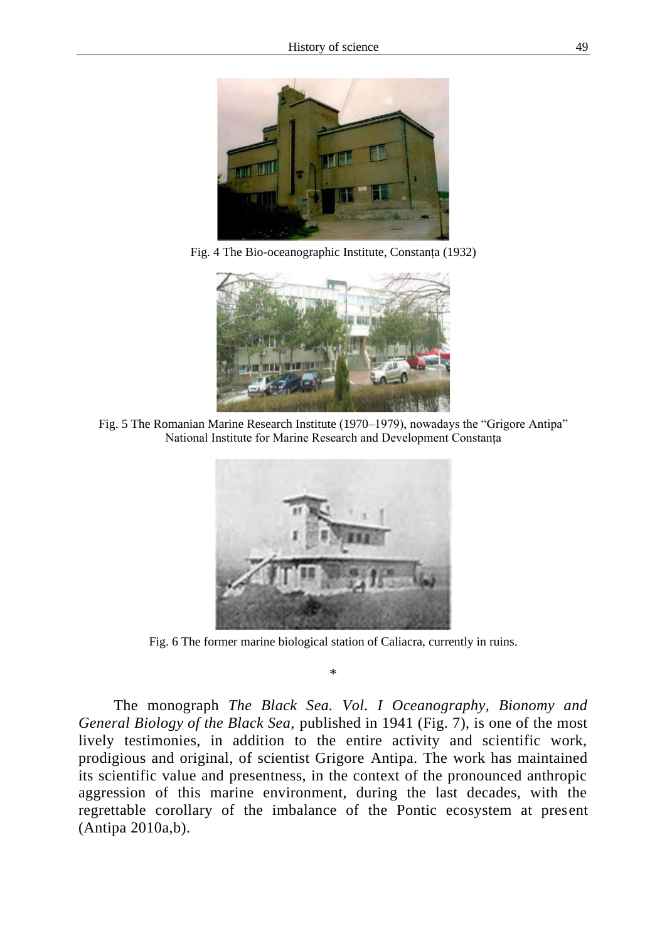

Fig. 4 The Bio-oceanographic Institute, Constanța (1932)



Fig. 5 The Romanian Marine Research Institute (1970–1979), nowadays the "Grigore Antipa" National Institute for Marine Research and Development Constanța



Fig. 6 The former marine biological station of Caliacra, currently in ruins.

\*

The monograph *The Black Sea. Vol. I Oceanography, Bionomy and General Biology of the Black Sea,* published in 1941 (Fig. 7), is one of the most lively testimonies, in addition to the entire activity and scientific work, prodigious and original, of scientist Grigore Antipa. The work has maintained its scientific value and presentness, in the context of the pronounced anthropic aggression of this marine environment, during the last decades, with the regrettable corollary of the imbalance of the Pontic ecosystem at present (Antipa 2010a,b).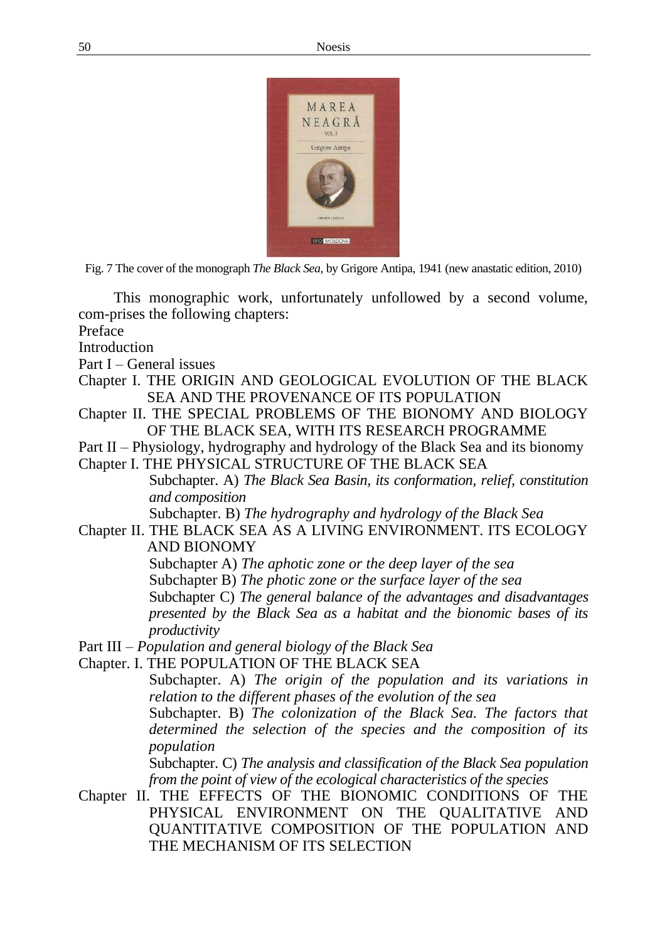

Fig. 7 The cover of the monograph *The Black Sea,* by Grigore Antipa, 1941 (new anastatic edition, 2010)

This monographic work, unfortunately unfollowed by a second volume, com-prises the following chapters:

Preface

Introduction

Part I – General issues

- Chapter I. THE ORIGIN AND GEOLOGICAL EVOLUTION OF THE BLACK SEA AND THE PROVENANCE OF ITS POPULATION
- Chapter II. THE SPECIAL PROBLEMS OF THE BIONOMY AND BIOLOGY OF THE BLACK SEA, WITH ITS RESEARCH PROGRAMME
- Part II Physiology, hydrography and hydrology of the Black Sea and its bionomy
- Chapter I. THE PHYSICAL STRUCTURE OF THE BLACK SEA Subchapter. A) *The Black Sea Basin, its conformation, relief, constitution and composition* Subchapter. B) *The hydrography and hydrology of the Black Sea*
- Chapter II. THE BLACK SEA AS A LIVING ENVIRONMENT. ITS ECOLOGY AND BIONOMY
	- Subchapter A) *The aphotic zone or the deep layer of the sea*
	- Subchapter B) *The photic zone or the surface layer of the sea*
	- Subchapter C) *The general balance of the advantages and disadvantages presented by the Black Sea as a habitat and the bionomic bases of its productivity*
- Part III *Population and general biology of the Black Sea*
- Chapter. I. THE POPULATION OF THE BLACK SEA

Subchapter. A) *The origin of the population and its variations in relation to the different phases of the evolution of the sea*  Subchapter. B) *The colonization of the Black Sea. The factors that determined the selection of the species and the composition of its population*  Subchapter. C) *The analysis and classification of the Black Sea population from the point of view of the ecological characteristics of the species*

Chapter II. THE EFFECTS OF THE BIONOMIC CONDITIONS OF THE PHYSICAL ENVIRONMENT ON THE QUALITATIVE AND QUANTITATIVE COMPOSITION OF THE POPULATION AND THE MECHANISM OF ITS SELECTION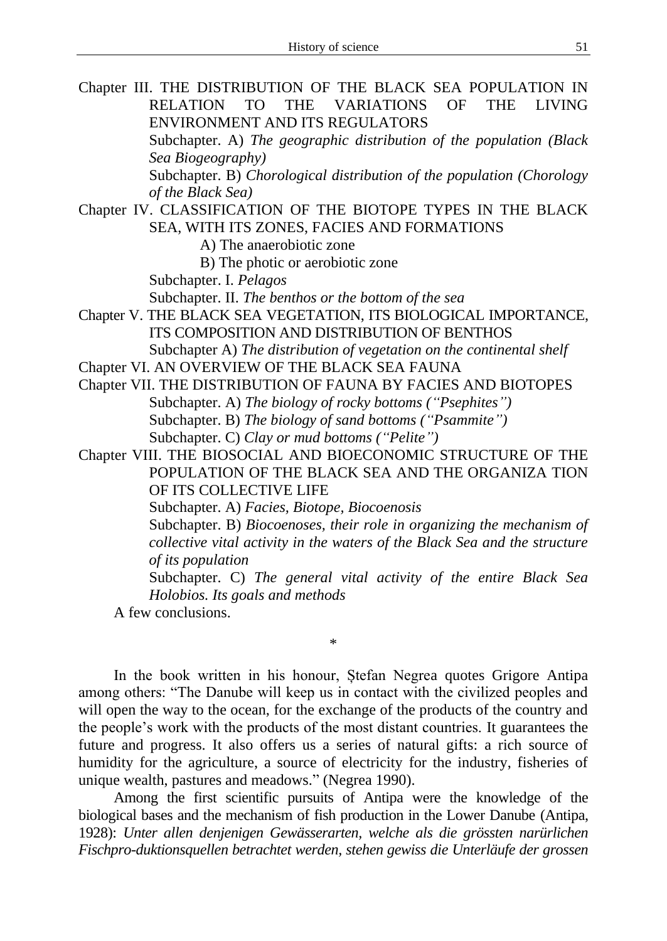| Chapter III. THE DISTRIBUTION OF THE BLACK SEA POPULATION IN                                         |
|------------------------------------------------------------------------------------------------------|
| <b>RELATION</b><br><b>VARIATIONS</b><br>OF<br><b>THE</b><br><b>TO</b><br><b>THE</b><br><b>LIVING</b> |
| ENVIRONMENT AND ITS REGULATORS                                                                       |
| Subchapter. A) The geographic distribution of the population (Black                                  |
| Sea Biogeography)                                                                                    |
| Subchapter. B) Chorological distribution of the population (Chorology                                |
| of the Black Sea)                                                                                    |
| Chapter IV. CLASSIFICATION OF THE BIOTOPE TYPES IN THE BLACK                                         |
| SEA, WITH ITS ZONES, FACIES AND FORMATIONS                                                           |
| A) The anaerobiotic zone                                                                             |
| B) The photic or aerobiotic zone                                                                     |
| Subchapter. I. Pelagos                                                                               |
| Subchapter. II. The benthos or the bottom of the sea                                                 |
| Chapter V. THE BLACK SEA VEGETATION, ITS BIOLOGICAL IMPORTANCE,                                      |
| ITS COMPOSITION AND DISTRIBUTION OF BENTHOS                                                          |
| Subchapter A) The distribution of vegetation on the continental shelf                                |
| Chapter VI. AN OVERVIEW OF THE BLACK SEA FAUNA                                                       |
| Chapter VII. THE DISTRIBUTION OF FAUNA BY FACIES AND BIOTOPES                                        |
| Subchapter. A) The biology of rocky bottoms ("Psephites")                                            |
| Subchapter. B) The biology of sand bottoms ("Psammite")                                              |
| Subchapter. C) Clay or mud bottoms ("Pelite")                                                        |
| Chapter VIII. THE BIOSOCIAL AND BIOECONOMIC STRUCTURE OF THE                                         |
| POPULATION OF THE BLACK SEA AND THE ORGANIZA TION                                                    |
| OF ITS COLLECTIVE LIFE                                                                               |
| Subchapter. A) Facies, Biotope, Biocoenosis                                                          |
| Subchapter. B) Biocoenoses, their role in organizing the mechanism of                                |
| collective vital activity in the waters of the Black Sea and the structure                           |
| of its population                                                                                    |
| Subchapter. C) The general vital activity of the entire Black Sea                                    |
| Holobios. Its goals and methods                                                                      |
| A few conclusions.                                                                                   |
| $^{\ast}$                                                                                            |
|                                                                                                      |

In the book written in his honour, Ștefan Negrea quotes Grigore Antipa among others: "The Danube will keep us in contact with the civilized peoples and will open the way to the ocean, for the exchange of the products of the country and the people's work with the products of the most distant countries. It guarantees the future and progress. It also offers us a series of natural gifts: a rich source of humidity for the agriculture, a source of electricity for the industry, fisheries of unique wealth, pastures and meadows." (Negrea 1990).

Among the first scientific pursuits of Antipa were the knowledge of the biological bases and the mechanism of fish production in the Lower Danube (Antipa, 1928): *Unter allen denjenigen Gewässerarten, welche als die grössten narürlichen Fischpro-duktionsquellen betrachtet werden, stehen gewiss die Unterläufe der grossen*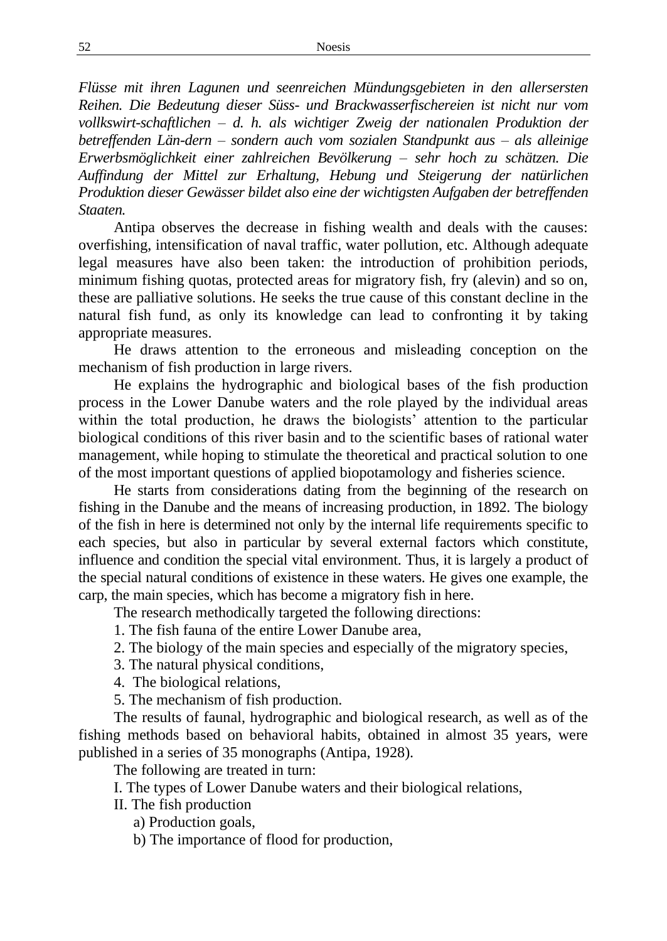*Flüsse mit ihren Lagunen und seenreichen Mündungsgebieten in den allersersten Reihen. Die Bedeutung dieser Süss- und Brackwasserfischereien ist nicht nur vom vollkswirt-schaftlichen – d. h. als wichtiger Zweig der nationalen Produktion der betreffenden Län-dern – sondern auch vom sozialen Standpunkt aus – als alleinige Erwerbsmöglichkeit einer zahlreichen Bevölkerung – sehr hoch zu schätzen. Die Auffindung der Mittel zur Erhaltung, Hebung und Steigerung der natürlichen Produktion dieser Gewässer bildet also eine der wichtigsten Aufgaben der betreffenden Staaten.* 

Antipa observes the decrease in fishing wealth and deals with the causes: overfishing, intensification of naval traffic, water pollution, etc. Although adequate legal measures have also been taken: the introduction of prohibition periods, minimum fishing quotas, protected areas for migratory fish, fry (alevin) and so on, these are palliative solutions. He seeks the true cause of this constant decline in the natural fish fund, as only its knowledge can lead to confronting it by taking appropriate measures.

He draws attention to the erroneous and misleading conception on the mechanism of fish production in large rivers.

He explains the hydrographic and biological bases of the fish production process in the Lower Danube waters and the role played by the individual areas within the total production, he draws the biologists' attention to the particular biological conditions of this river basin and to the scientific bases of rational water management, while hoping to stimulate the theoretical and practical solution to one of the most important questions of applied biopotamology and fisheries science.

He starts from considerations dating from the beginning of the research on fishing in the Danube and the means of increasing production, in 1892. The biology of the fish in here is determined not only by the internal life requirements specific to each species, but also in particular by several external factors which constitute, influence and condition the special vital environment. Thus, it is largely a product of the special natural conditions of existence in these waters. He gives one example, the carp, the main species, which has become a migratory fish in here.

The research methodically targeted the following directions:

1. The fish fauna of the entire Lower Danube area,

- 2. The biology of the main species and especially of the migratory species,
- 3. The natural physical conditions,
- 4. The biological relations,

5. The mechanism of fish production.

The results of faunal, hydrographic and biological research, as well as of the fishing methods based on behavioral habits, obtained in almost 35 years, were published in a series of 35 monographs (Antipa, 1928).

The following are treated in turn:

I. The types of Lower Danube waters and their biological relations,

II. The fish production

a) Production goals,

b) The importance of flood for production,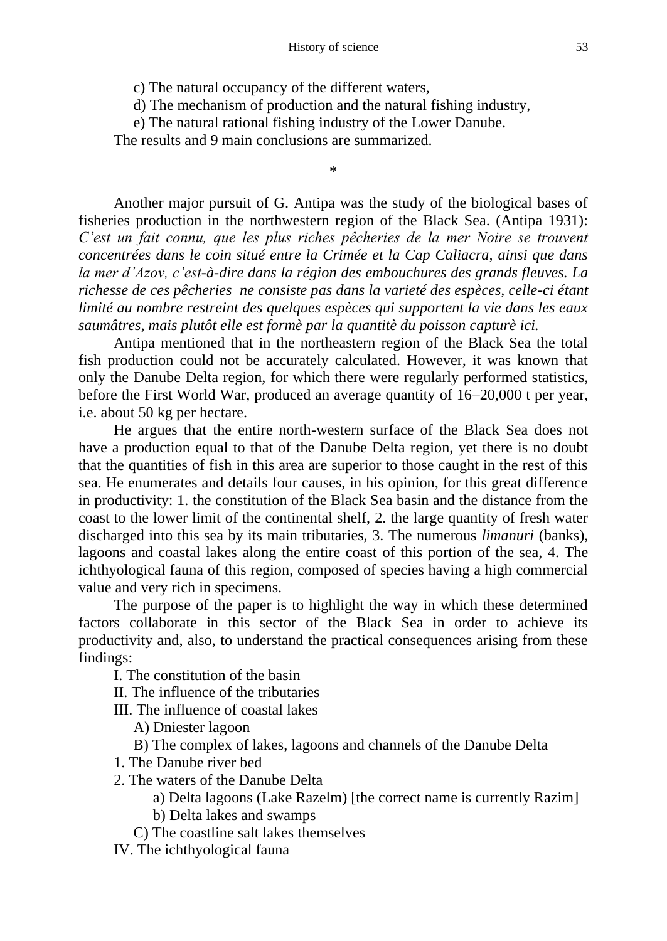c) The natural occupancy of the different waters,

d) The mechanism of production and the natural fishing industry,

\*

e) The natural rational fishing industry of the Lower Danube.

The results and 9 main conclusions are summarized.

Another major pursuit of G. Antipa was the study of the biological bases of fisheries production in the northwestern region of the Black Sea. (Antipa 1931): *C'est un fait connu, que les plus riches pêcheries de la mer Noire se trouvent concentrées dans le coin situé entre la Crimée et la Cap Caliacra, ainsi que dans la mer d'Azov, c'est-à-dire dans la région des embouchures des grands fleuves. La richesse de ces pêcheries ne consiste pas dans la varieté des espèces, celle-ci étant limité au nombre restreint des quelques espèces qui supportent la vie dans les eaux saumâtres, mais plutôt elle est formè par la quantitè du poisson capturè ici.*

Antipa mentioned that in the northeastern region of the Black Sea the total fish production could not be accurately calculated. However, it was known that only the Danube Delta region, for which there were regularly performed statistics, before the First World War, produced an average quantity of 16–20,000 t per year, i.e. about 50 kg per hectare.

He argues that the entire north-western surface of the Black Sea does not have a production equal to that of the Danube Delta region, yet there is no doubt that the quantities of fish in this area are superior to those caught in the rest of this sea. He enumerates and details four causes, in his opinion, for this great difference in productivity: 1. the constitution of the Black Sea basin and the distance from the coast to the lower limit of the continental shelf, 2. the large quantity of fresh water discharged into this sea by its main tributaries, 3. The numerous *limanuri* (banks), lagoons and coastal lakes along the entire coast of this portion of the sea, 4. The ichthyological fauna of this region, composed of species having a high commercial value and very rich in specimens.

The purpose of the paper is to highlight the way in which these determined factors collaborate in this sector of the Black Sea in order to achieve its productivity and, also, to understand the practical consequences arising from these findings:

I. The constitution of the basin

II. The influence of the tributaries

III. The influence of coastal lakes

A) Dniester lagoon

B) The complex of lakes, lagoons and channels of the Danube Delta

1. The Danube river bed

2. The waters of the Danube Delta

a) Delta lagoons (Lake Razelm) [the correct name is currently Razim]

b) Delta lakes and swamps

C) The coastline salt lakes themselves

IV. The ichthyological fauna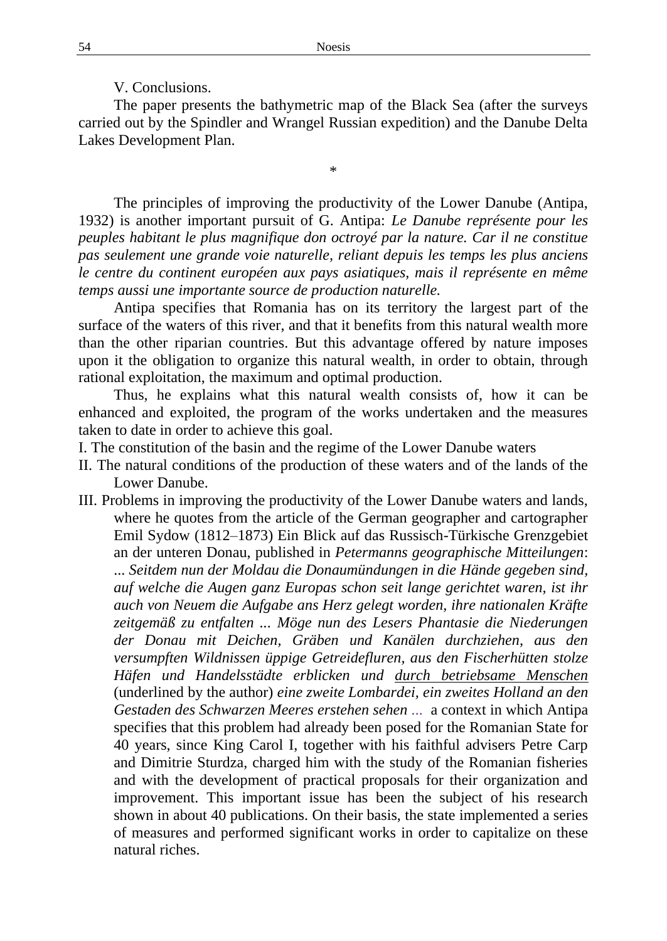V. Conclusions.

The paper presents the bathymetric map of the Black Sea (after the surveys carried out by the Spindler and Wrangel Russian expedition) and the Danube Delta Lakes Development Plan.

\*

The principles of improving the productivity of the Lower Danube (Antipa, 1932) is another important pursuit of G. Antipa: *Le Danube représente pour les peuples habitant le plus magnifique don octroyé par la nature. Car il ne constitue pas seulement une grande voie naturelle, reliant depuis les temps les plus anciens le centre du continent européen aux pays asiatiques, mais il représente en même temps aussi une importante source de production naturelle.*

Antipa specifies that Romania has on its territory the largest part of the surface of the waters of this river, and that it benefits from this natural wealth more than the other riparian countries. But this advantage offered by nature imposes upon it the obligation to organize this natural wealth, in order to obtain, through rational exploitation, the maximum and optimal production.

Thus, he explains what this natural wealth consists of, how it can be enhanced and exploited, the program of the works undertaken and the measures taken to date in order to achieve this goal.

- I. The constitution of the basin and the regime of the Lower Danube waters
- II. The natural conditions of the production of these waters and of the lands of the Lower Danube.
- III. Problems in improving the productivity of the Lower Danube waters and lands, where he quotes from the article of the German geographer and cartographer Emil Sydow (1812–1873) Ein Blick auf das Russisch-Türkische Grenzgebiet an der unteren Donau, published in *Petermanns geographische Mitteilungen*: ... *Seitdem nun der Moldau die Donaumündungen in die Hände gegeben sind, auf welche die Augen ganz Europas schon seit lange gerichtet waren, ist ihr auch von Neuem die Aufgabe ans Herz gelegt worden, ihre nationalen Kräfte zeitgemäß zu entfalten ... Möge nun des Lesers Phantasie die Niederungen der Donau mit Deichen, Gräben und Kanälen durchziehen, aus den versumpften Wildnissen üppige Getreidefluren, aus den Fischerhütten stolze Häfen und Handelsstädte erblicken und durch betriebsame Menschen* (underlined by the author) *eine zweite Lombardei, ein zweites Holland an den Gestaden des Schwarzen Meeres erstehen sehen ...* a context in which Antipa specifies that this problem had already been posed for the Romanian State for 40 years, since King Carol I, together with his faithful advisers Petre Carp and Dimitrie Sturdza, charged him with the study of the Romanian fisheries and with the development of practical proposals for their organization and improvement. This important issue has been the subject of his research shown in about 40 publications. On their basis, the state implemented a series of measures and performed significant works in order to capitalize on these natural riches.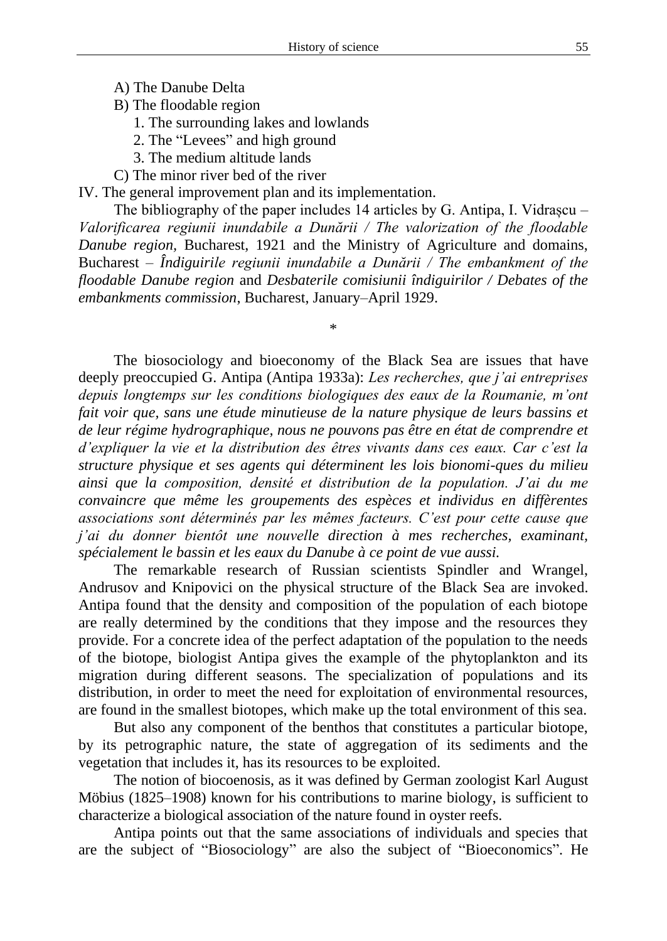- A) The Danube Delta
- B) The floodable region
	- 1. The surrounding lakes and lowlands
	- 2. The "Levees" and high ground
	- 3. The medium altitude lands
- C) The minor river bed of the river

IV. The general improvement plan and its implementation.

The bibliography of the paper includes 14 articles by G. Antipa, I. Vidrașcu – *Valorificarea regiunii inundabile a Dunării / The valorization of the floodable Danube region,* Bucharest, 1921 and the Ministry of Agriculture and domains, Bucharest – *Îndiguirile regiunii inundabile a Dunării / The embankment of the floodable Danube region* and *Desbaterile comisiunii îndiguirilor / Debates of the embankments commission*, Bucharest, January–April 1929.

\*

The biosociology and bioeconomy of the Black Sea are issues that have deeply preoccupied G. Antipa (Antipa 1933a): *Les recherches, que j'ai entreprises depuis longtemps sur les conditions biologiques des eaux de la Roumanie, m'ont fait voir que, sans une étude minutieuse de la nature physique de leurs bassins et de leur régime hydrographique, nous ne pouvons pas être en état de comprendre et d'expliquer la vie et la distribution des êtres vivants dans ces eaux. Car c'est la structure physique et ses agents qui déterminent les lois bionomi-ques du milieu ainsi que la composition, densité et distribution de la population. J'ai du me convaincre que même les groupements des espèces et individus en diffèrentes associations sont déterminés par les mêmes facteurs. C'est pour cette cause que j'ai du donner bientôt une nouvelle direction à mes recherches, examinant, spécialement le bassin et les eaux du Danube à ce point de vue aussi.*

The remarkable research of Russian scientists Spindler and Wrangel, Andrusov and Knipovici on the physical structure of the Black Sea are invoked. Antipa found that the density and composition of the population of each biotope are really determined by the conditions that they impose and the resources they provide. For a concrete idea of the perfect adaptation of the population to the needs of the biotope, biologist Antipa gives the example of the phytoplankton and its migration during different seasons. The specialization of populations and its distribution, in order to meet the need for exploitation of environmental resources, are found in the smallest biotopes, which make up the total environment of this sea.

But also any component of the benthos that constitutes a particular biotope, by its petrographic nature, the state of aggregation of its sediments and the vegetation that includes it, has its resources to be exploited.

The notion of biocoenosis, as it was defined by German zoologist Karl August Möbius (1825–1908) known for his contributions to marine biology, is sufficient to characterize a biological association of the nature found in oyster reefs.

Antipa points out that the same associations of individuals and species that are the subject of "Biosociology" are also the subject of "Bioeconomics". He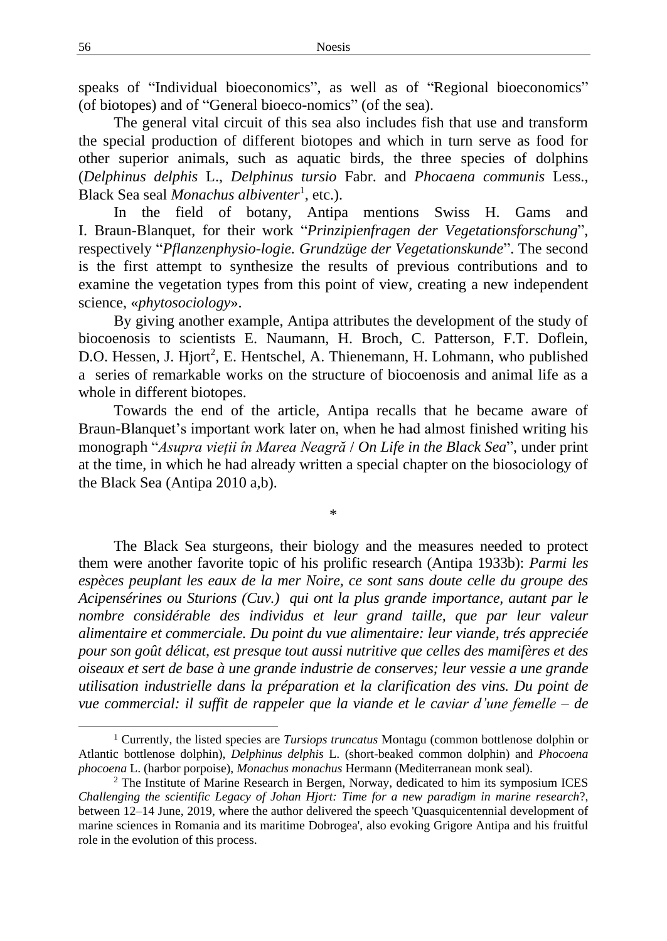speaks of "Individual bioeconomics", as well as of "Regional bioeconomics" (of biotopes) and of "General bioeco-nomics" (of the sea).

The general vital circuit of this sea also includes fish that use and transform the special production of different biotopes and which in turn serve as food for other superior animals, such as aquatic birds, the three species of dolphins (*Delphinus delphis* L., *Delphinus tursio* Fabr. and *Phocaena communis* Less., Black Sea seal *Monachus albiventer*<sup>1</sup> , etc.).

In the field of botany, Antipa mentions Swiss H. Gams and I. Braun-Blanquet, for their work "*Prinzipienfragen der Vegetationsforschung*", respectively "*Pflanzenphysio-logie. Grundzüge der Vegetationskunde*". The second is the first attempt to synthesize the results of previous contributions and to examine the vegetation types from this point of view, creating a new independent science, «*phytosociology*».

By giving another example, Antipa attributes the development of the study of biocoenosis to scientists E. Naumann, H. Broch, C. Patterson, F.T. Doflein, D.O. Hessen, J. Hjort<sup>2</sup>, E. Hentschel, A. Thienemann, H. Lohmann, who published a series of remarkable works on the structure of biocoenosis and animal life as a whole in different biotopes.

Towards the end of the article, Antipa recalls that he became aware of Braun-Blanquet's important work later on, when he had almost finished writing his monograph "*Asupra vieții în Marea Neagră* / *On Life in the Black Sea*", under print at the time, in which he had already written a special chapter on the biosociology of the Black Sea (Antipa 2010 a,b).

\*

The Black Sea sturgeons, their biology and the measures needed to protect them were another favorite topic of his prolific research (Antipa 1933b): *Parmi les espèces peuplant les eaux de la mer Noire, ce sont sans doute celle du groupe des Acipensérines ou Sturions (Cuv.) qui ont la plus grande importance, autant par le nombre considérable des individus et leur grand taille, que par leur valeur alimentaire et commerciale. Du point du vue alimentaire: leur viande, trés appreciée pour son goût délicat, est presque tout aussi nutritive que celles des mamifères et des oiseaux et sert de base à une grande industrie de conserves; leur vessie a une grande utilisation industrielle dans la préparation et la clarification des vins. Du point de vue commercial: il suffit de rappeler que la viande et le caviar d'une femelle – de* 

<sup>&</sup>lt;sup>1</sup> Currently, the listed species are *Tursiops truncatus* Montagu (common bottlenose dolphin or Atlantic bottlenose dolphin), *Delphinus delphis* L. (short-beaked common dolphin) and *Phocoena phocoena* L. (harbor porpoise), *Monachus monachus* Hermann (Mediterranean monk seal).

<sup>&</sup>lt;sup>2</sup> The Institute of Marine Research in Bergen, Norway, dedicated to him its symposium ICES *Challenging the scientific Legacy of Johan Hjort: Time for a new paradigm in marine research*?, between 12–14 June, 2019, where the author delivered the speech 'Quasquicentennial development of marine sciences in Romania and its maritime Dobrogea', also evoking Grigore Antipa and his fruitful role in the evolution of this process.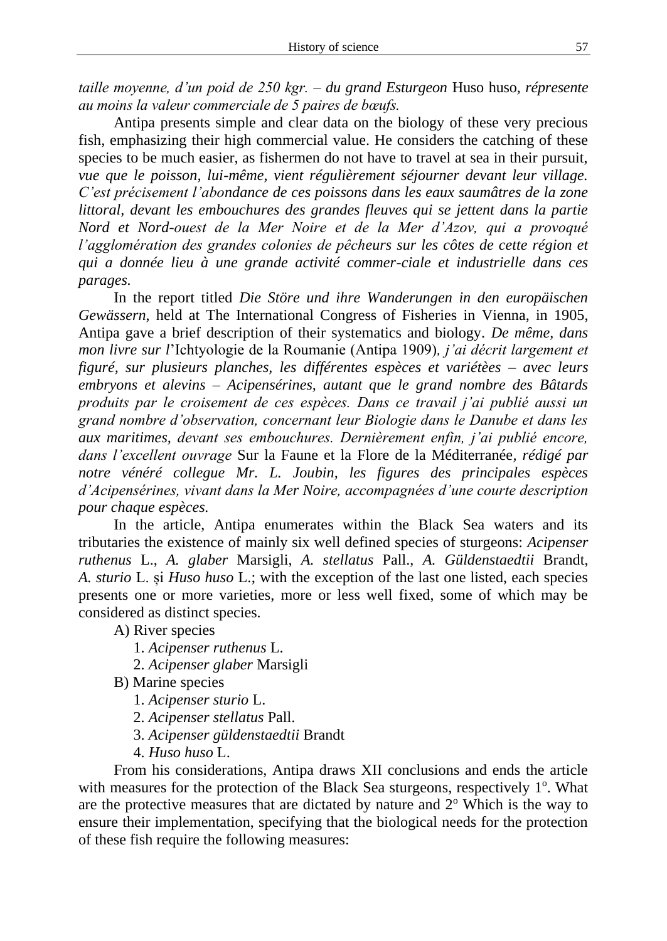*taille moyenne, d'un poid de 250 kgr. – du grand Esturgeon* Huso huso*, répresente au moins la valeur commerciale de 5 paires de bœufs.*

Antipa presents simple and clear data on the biology of these very precious fish, emphasizing their high commercial value. He considers the catching of these species to be much easier, as fishermen do not have to travel at sea in their pursuit, *vue que le poisson, lui-même, vient régulièrement séjourner devant leur village. C'est précisement l'abondance de ces poissons dans les eaux saumâtres de la zone littoral, devant les embouchures des grandes fleuves qui se jettent dans la partie Nord et Nord-ouest de la Mer Noire et de la Mer d'Azov, qui a provoqué l'agglomération des grandes colonies de pêcheurs sur les côtes de cette région et qui a donnée lieu à une grande activité commer-ciale et industrielle dans ces parages.*

In the report titled *Die Störe und ihre Wanderungen in den europäischen Gewässern*, held at The International Congress of Fisheries in Vienna, in 1905, Antipa gave a brief description of their systematics and biology. *De même, dans mon livre sur l*'Ichtyologie de la Roumanie (Antipa 1909)*, j'ai décrit largement et figuré, sur plusieurs planches, les différentes espèces et variétèes – avec leurs embryons et alevins – Acipensérines, autant que le grand nombre des Bâtards produits par le croisement de ces espèces. Dans ce travail j'ai publié aussi un grand nombre d'observation, concernant leur Biologie dans le Danube et dans les aux maritimes, devant ses embouchures. Dernièrement enfin, j'ai publié encore, dans l'excellent ouvrage* Sur la Faune et la Flore de la Méditerranée*, rédigé par notre vénéré collegue Mr. L. Joubin, les figures des principales espèces d'Acipensérines, vivant dans la Mer Noire, accompagnées d'une courte description pour chaque espèces.*

In the article, Antipa enumerates within the Black Sea waters and its tributaries the existence of mainly six well defined species of sturgeons: *Acipenser ruthenus* L., *A. glaber* Marsigli, *A. stellatus* Pall., *A. Güldenstaedtii* Brandt, *A. sturio* L. și *Huso huso* L.; with the exception of the last one listed, each species presents one or more varieties, more or less well fixed, some of which may be considered as distinct species.

A) River species

- 1. *Acipenser ruthenus* L.
- 2. *Acipenser glaber* Marsigli
- B) Marine species
	- 1. *Acipenser sturio* L.
	- 2. *Acipenser stellatus* Pall.
	- 3. *Acipenser güldenstaedtii* Brandt
	- 4. *Huso huso* L.

From his considerations, Antipa draws XII conclusions and ends the article with measures for the protection of the Black Sea sturgeons, respectively 1<sup>o</sup>. What are the protective measures that are dictated by nature and  $2<sup>o</sup>$  Which is the way to ensure their implementation, specifying that the biological needs for the protection of these fish require the following measures: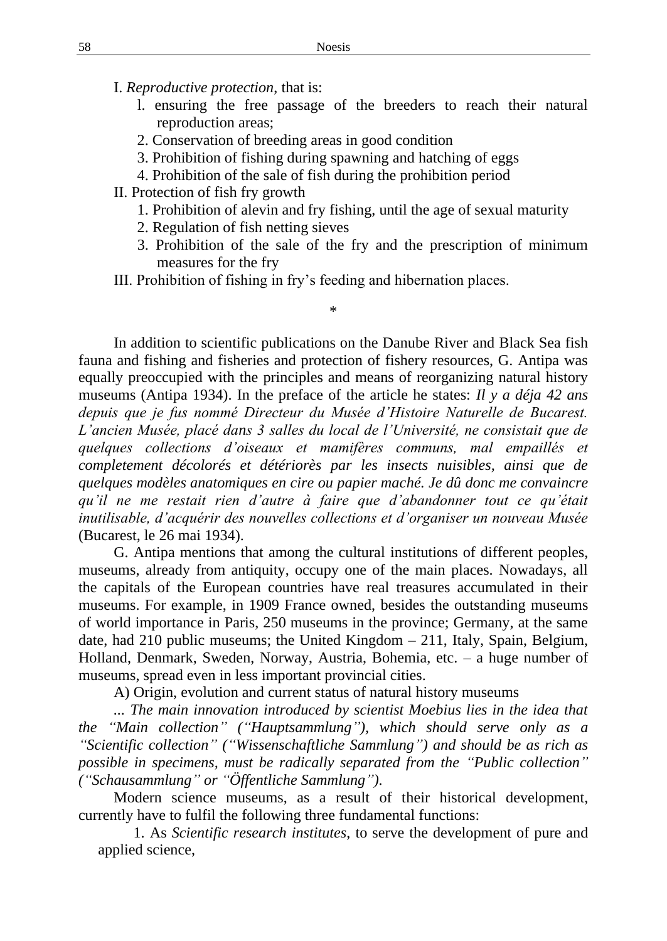I. *Reproductive protection*, that is:

- l. ensuring the free passage of the breeders to reach their natural reproduction areas;
- 2. Conservation of breeding areas in good condition
- 3. Prohibition of fishing during spawning and hatching of eggs
- 4. Prohibition of the sale of fish during the prohibition period
- II. Protection of fish fry growth
	- 1. Prohibition of alevin and fry fishing, until the age of sexual maturity
	- 2. Regulation of fish netting sieves
	- 3. Prohibition of the sale of the fry and the prescription of minimum measures for the fry
- III. Prohibition of fishing in fry's feeding and hibernation places.

\*

In addition to scientific publications on the Danube River and Black Sea fish fauna and fishing and fisheries and protection of fishery resources, G. Antipa was equally preoccupied with the principles and means of reorganizing natural history museums (Antipa 1934). In the preface of the article he states: *Il y a déja 42 ans depuis que je fus nommé Directeur du Musée d'Histoire Naturelle de Bucarest. L'ancien Musée, placé dans 3 salles du local de l'Université, ne consistait que de quelques collections d'oiseaux et mamifères communs, mal empaillés et completement décolorés et détériorès par les insects nuisibles, ainsi que de quelques modèles anatomiques en cire ou papier maché. Je dû donc me convaincre qu'il ne me restait rien d'autre à faire que d'abandonner tout ce qu'était inutilisable, d'acquérir des nouvelles collections et d'organiser un nouveau Musée*  (Bucarest, le 26 mai 1934).

G. Antipa mentions that among the cultural institutions of different peoples, museums, already from antiquity, occupy one of the main places. Nowadays, all the capitals of the European countries have real treasures accumulated in their museums. For example, in 1909 France owned, besides the outstanding museums of world importance in Paris, 250 museums in the province; Germany, at the same date, had 210 public museums; the United Kingdom – 211, Italy, Spain, Belgium, Holland, Denmark, Sweden, Norway, Austria, Bohemia, etc. – a huge number of museums, spread even in less important provincial cities.

A) Origin, evolution and current status of natural history museums

*... The main innovation introduced by scientist Moebius lies in the idea that the "Main collection" ("Hauptsammlung"), which should serve only as a "Scientific collection" ("Wissenschaftliche Sammlung") and should be as rich as possible in specimens, must be radically separated from the "Public collection" ("Schausammlung" or "Öffentliche Sammlung").*

Modern science museums, as a result of their historical development, currently have to fulfil the following three fundamental functions:

1. As *Scientific research institutes*, to serve the development of pure and applied science,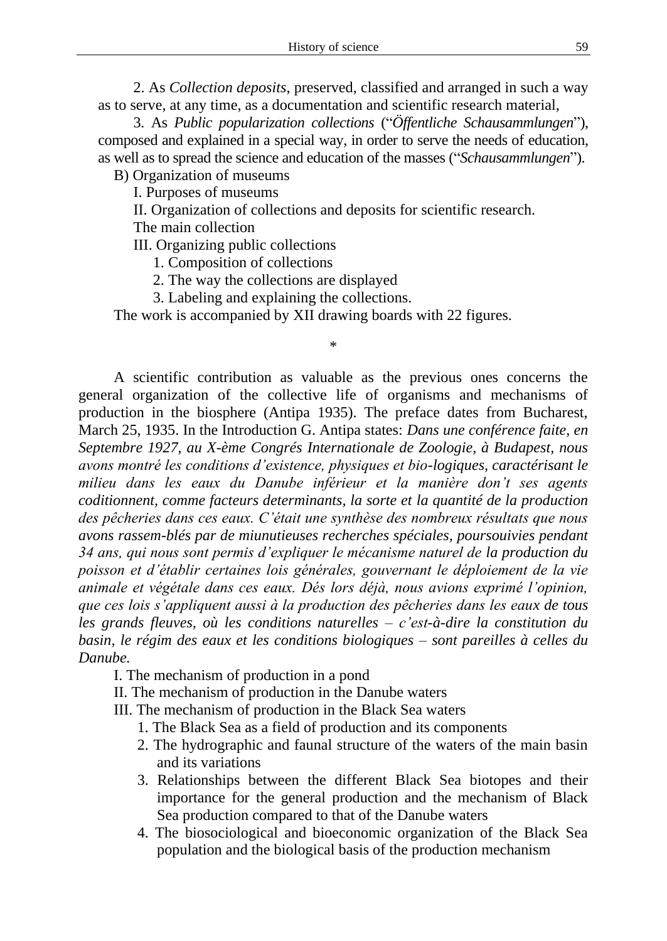2. As *Collection deposits*, preserved, classified and arranged in such a way as to serve, at any time, as a documentation and scientific research material,

3. As *Public popularization collections* ("*Öffentliche Schausammlungen*"), composed and explained in a special way, in order to serve the needs of education, as well as to spread the science and education of the masses ("*Schausammlungen*").

B) Organization of museums

I. Purposes of museums

II. Organization of collections and deposits for scientific research.

The main collection

III. Organizing public collections

1. Composition of collections

2. The way the collections are displayed

3. Labeling and explaining the collections.

The work is accompanied by XII drawing boards with 22 figures.

\*

A scientific contribution as valuable as the previous ones concerns the general organization of the collective life of organisms and mechanisms of production in the biosphere (Antipa 1935). The preface dates from Bucharest, March 25, 1935. In the Introduction G. Antipa states: *Dans une conférence faite, en Septembre 1927, au X-ème Congrés Internationale de Zoologie, à Budapest, nous avons montré les conditions d'existence, physiques et bio-logiques, caractérisant le milieu dans les eaux du Danube inférieur et la manière don't ses agents coditionnent, comme facteurs determinants, la sorte et la quantité de la production des pêcheries dans ces eaux. C'était une synthèse des nombreux résultats que nous avons rassem-blés par de miunutieuses recherches spéciales, poursouivies pendant 34 ans, qui nous sont permis d'expliquer le mécanisme naturel de la production du poisson et d'établir certaines lois générales, gouvernant le déploiement de la vie animale et végétale dans ces eaux. Dés lors déjà, nous avions exprimé l'opinion, que ces lois s'appliquent aussi à la production des pêcheries dans les eaux de tous les grands fleuves, où les conditions naturelles – c'est-à-dire la constitution du basin, le régim des eaux et les conditions biologiques – sont pareilles à celles du Danube.*

I. The mechanism of production in a pond

II. The mechanism of production in the Danube waters

III. The mechanism of production in the Black Sea waters

- 1. The Black Sea as a field of production and its components
- 2. The hydrographic and faunal structure of the waters of the main basin and its variations
- 3. Relationships between the different Black Sea biotopes and their importance for the general production and the mechanism of Black Sea production compared to that of the Danube waters
- 4. The biosociological and bioeconomic organization of the Black Sea population and the biological basis of the production mechanism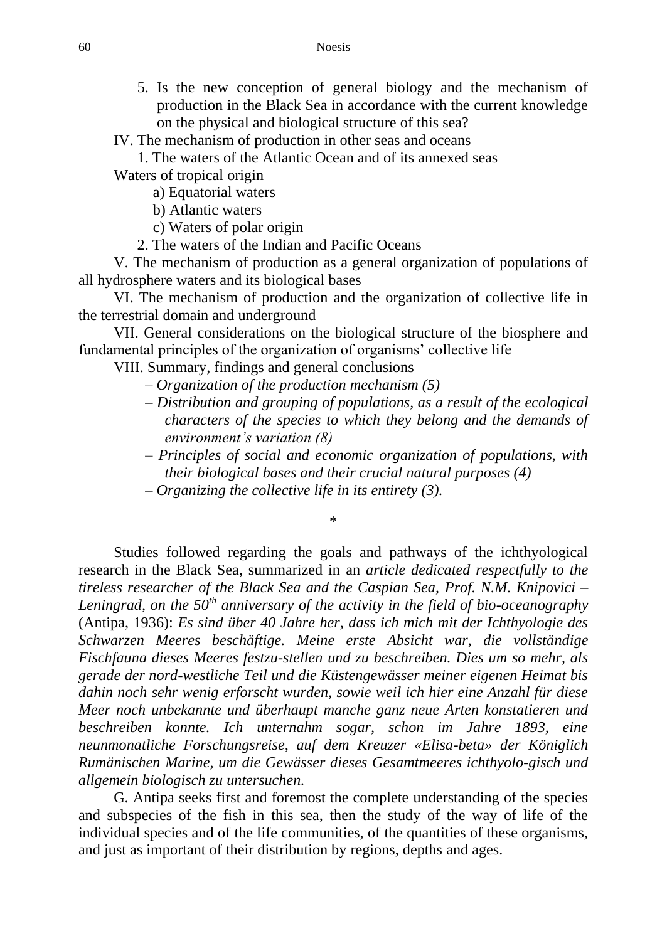- 5. Is the new conception of general biology and the mechanism of production in the Black Sea in accordance with the current knowledge on the physical and biological structure of this sea?
- IV. The mechanism of production in other seas and oceans
	- 1. The waters of the Atlantic Ocean and of its annexed seas

Waters of tropical origin

a) Equatorial waters

b) Atlantic waters

c) Waters of polar origin

2. The waters of the Indian and Pacific Oceans

V. The mechanism of production as a general organization of populations of all hydrosphere waters and its biological bases

VI. The mechanism of production and the organization of collective life in the terrestrial domain and underground

VII. General considerations on the biological structure of the biosphere and fundamental principles of the organization of organisms' collective life

VIII. Summary, findings and general conclusions

- *– Organization of the production mechanism (5)*
- *– Distribution and grouping of populations, as a result of the ecological characters of the species to which they belong and the demands of environment's variation (8)*
- *– Principles of social and economic organization of populations, with their biological bases and their crucial natural purposes (4)*
- *– Organizing the collective life in its entirety (3).*

\*

Studies followed regarding the goals and pathways of the ichthyological research in the Black Sea, summarized in an *article dedicated respectfully to the tireless researcher of the Black Sea and the Caspian Sea, Prof. N.M. Knipovici – Leningrad, on the 50th anniversary of the activity in the field of bio-oceanography*  (Antipa, 1936): *Es sind über 40 Jahre her, dass ich mich mit der Ichthyologie des Schwarzen Meeres beschäftige. Meine erste Absicht war, die vollständige Fischfauna dieses Meeres festzu-stellen und zu beschreiben. Dies um so mehr, als gerade der nord-westliche Teil und die Küstengewässer meiner eigenen Heimat bis dahin noch sehr wenig erforscht wurden, sowie weil ich hier eine Anzahl für diese Meer noch unbekannte und überhaupt manche ganz neue Arten konstatieren und beschreiben konnte. Ich unternahm sogar, schon im Jahre 1893, eine neunmonatliche Forschungsreise, auf dem Kreuzer «Elisa-beta» der Königlich Rumänischen Marine, um die Gewässer dieses Gesamtmeeres ichthyolo-gisch und allgemein biologisch zu untersuchen.*

G. Antipa seeks first and foremost the complete understanding of the species and subspecies of the fish in this sea, then the study of the way of life of the individual species and of the life communities, of the quantities of these organisms, and just as important of their distribution by regions, depths and ages.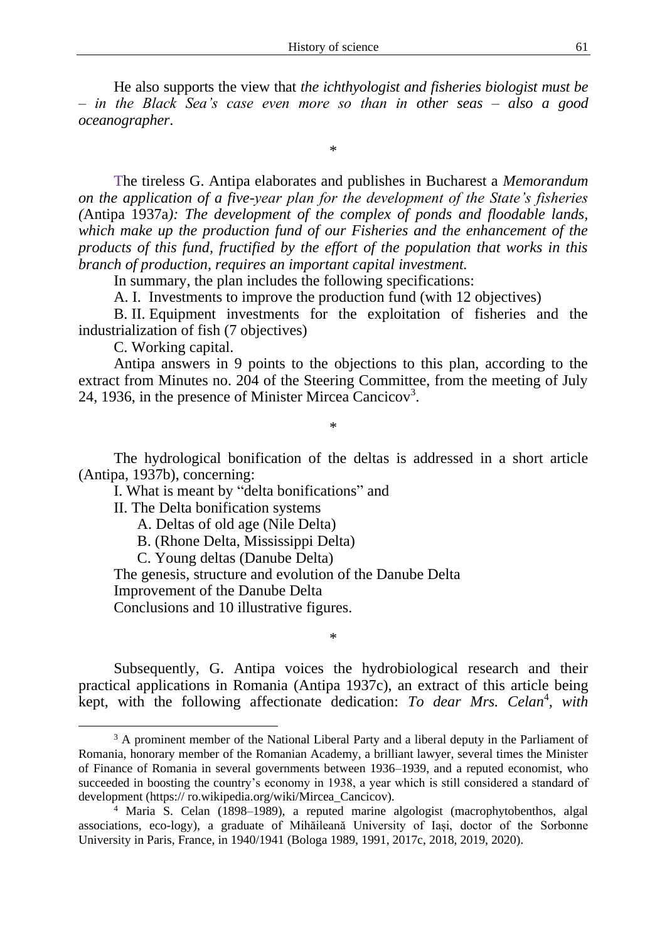He also supports the view that *the ichthyologist and fisheries biologist must be – in the Black Sea's case even more so than in other seas – also a good oceanographer*.

\*

The tireless G. Antipa elaborates and publishes in Bucharest a *Memorandum on the application of a five-year plan for the development of the State's fisheries (*Antipa 1937a*): The development of the complex of ponds and floodable lands,*  which make up the production fund of our Fisheries and the enhancement of the *products of this fund, fructified by the effort of the population that works in this branch of production, requires an important capital investment.*

In summary, the plan includes the following specifications:

A. I. Investments to improve the production fund (with 12 objectives)

B. II. Equipment investments for the exploitation of fisheries and the industrialization of fish (7 objectives)

C. Working capital.

Antipa answers in 9 points to the objections to this plan, according to the extract from Minutes no. 204 of the Steering Committee, from the meeting of July 24, 1936, in the presence of Minister Mircea Cancicov<sup>3</sup>.

\*

The hydrological bonification of the deltas is addressed in a short article (Antipa, 1937b), concerning:

I. What is meant by "delta bonifications" and

II. The Delta bonification systems

A. Deltas of old age (Nile Delta)

B. (Rhone Delta, Mississippi Delta)

C. Young deltas (Danube Delta)

The genesis, structure and evolution of the Danube Delta

Improvement of the Danube Delta

Conclusions and 10 illustrative figures.

Subsequently, G. Antipa voices the hydrobiological research and their practical applications in Romania (Antipa 1937c), an extract of this article being kept, with the following affectionate dedication: To dear Mrs. Celan<sup>4</sup>, with

\*

<sup>&</sup>lt;sup>3</sup> A prominent member of the National Liberal Party and a liberal deputy in the Parliament of Romania, honorary member of the Romanian Academy, a brilliant lawyer, several times the Minister of Finance of Romania in several governments between 1936–1939, and a reputed economist, who succeeded in boosting the country's economy in 1938, a year which is still considered a standard of development (https:// ro.wikipedia.org/wiki/Mircea\_Cancicov).

<sup>4</sup> Maria S. Celan (1898–1989), a reputed marine algologist (macrophytobenthos, algal associations, eco-logy), a graduate of Mihăileană University of Iași, doctor of the Sorbonne University in Paris, France, in 1940/1941 (Bologa 1989, 1991, 2017c, 2018, 2019, 2020).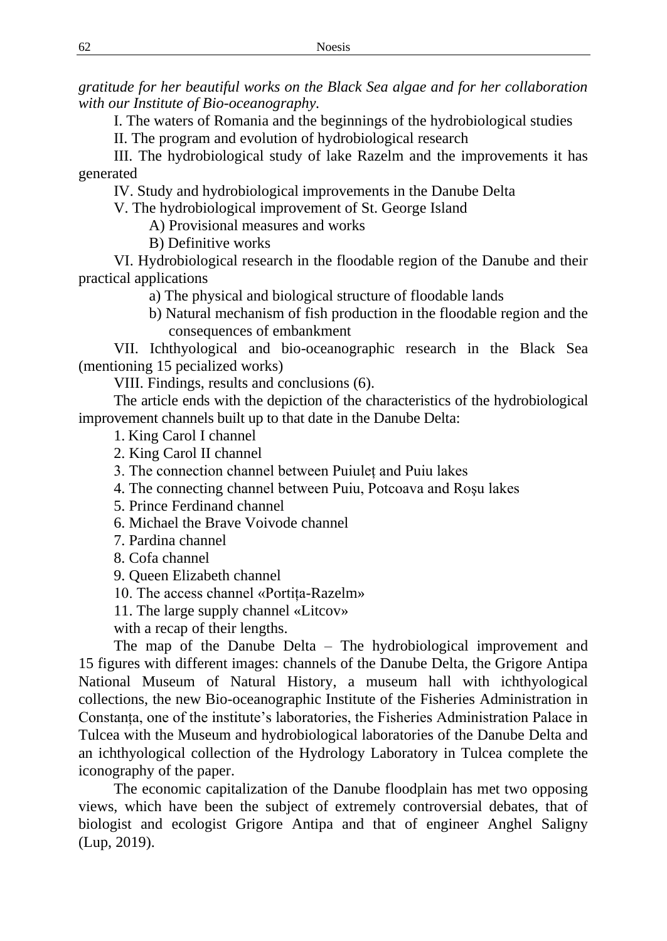*gratitude for her beautiful works on the Black Sea algae and for her collaboration with our Institute of Bio-oceanography.*

I. The waters of Romania and the beginnings of the hydrobiological studies

II. The program and evolution of hydrobiological research

III. The hydrobiological study of lake Razelm and the improvements it has generated

IV. Study and hydrobiological improvements in the Danube Delta

V. The hydrobiological improvement of St. George Island

A) Provisional measures and works

B) Definitive works

VI. Hydrobiological research in the floodable region of the Danube and their practical applications

a) The physical and biological structure of floodable lands

b) Natural mechanism of fish production in the floodable region and the consequences of embankment

VII. Ichthyological and bio-oceanographic research in the Black Sea (mentioning 15 pecialized works)

VIII. Findings, results and conclusions (6).

The article ends with the depiction of the characteristics of the hydrobiological improvement channels built up to that date in the Danube Delta:

1. King Carol I channel

- 2. King Carol II channel
- 3. The connection channel between Puiuleț and Puiu lakes
- 4. The connecting channel between Puiu, Potcoava and Roşu lakes
- 5. Prince Ferdinand channel
- 6. Michael the Brave Voivode channel
- 7. Pardina channel
- 8. Cofa channel
- 9. Queen Elizabeth channel
- 10. The access channel «Portița-Razelm»
- 11. The large supply channel «Litcov»

with a recap of their lengths.

The map of the Danube Delta – The hydrobiological improvement and 15 figures with different images: channels of the Danube Delta, the Grigore Antipa National Museum of Natural History, a museum hall with ichthyological collections, the new Bio-oceanographic Institute of the Fisheries Administration in Constanța, one of the institute's laboratories, the Fisheries Administration Palace in Tulcea with the Museum and hydrobiological laboratories of the Danube Delta and an ichthyological collection of the Hydrology Laboratory in Tulcea complete the iconography of the paper.

The economic capitalization of the Danube floodplain has met two opposing views, which have been the subject of extremely controversial debates, that of biologist and ecologist Grigore Antipa and that of engineer Anghel Saligny (Lup, 2019).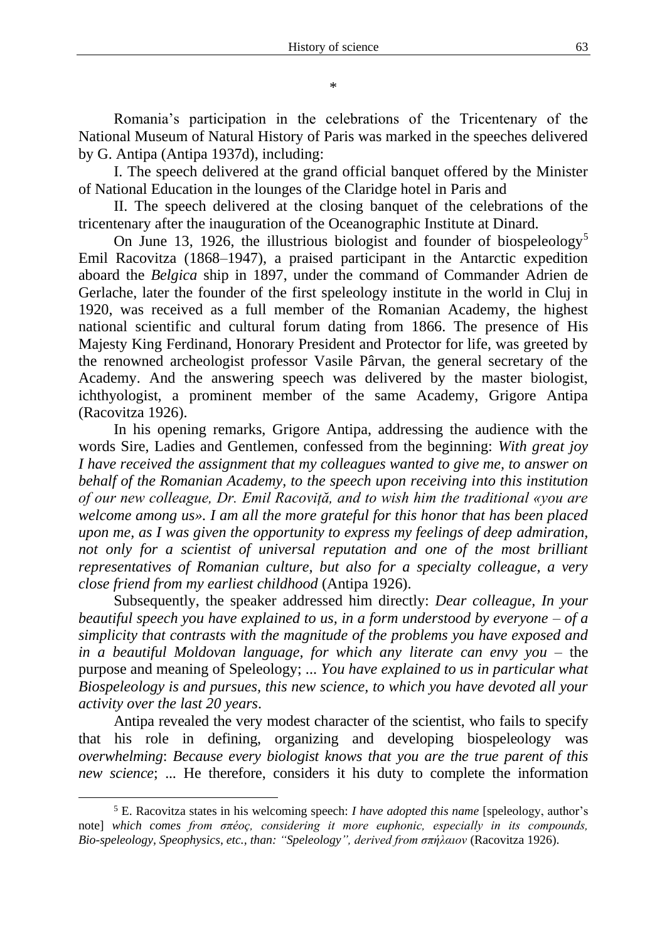Romania's participation in the celebrations of the Tricentenary of the National Museum of Natural History of Paris was marked in the speeches delivered by G. Antipa (Antipa 1937d), including:

I. The speech delivered at the grand official banquet offered by the Minister of National Education in the lounges of the Claridge hotel in Paris and

II. The speech delivered at the closing banquet of the celebrations of the tricentenary after the inauguration of the Oceanographic Institute at Dinard.

On June 13, 1926, the illustrious biologist and founder of biospeleology<sup>5</sup> Emil Racovitza (1868–1947), a praised participant in the Antarctic expedition aboard the *Belgica* ship in 1897, under the command of Commander Adrien de Gerlache, later the founder of the first speleology institute in the world in Cluj in 1920, was received as a full member of the Romanian Academy, the highest national scientific and cultural forum dating from 1866. The presence of His Majesty King Ferdinand, Honorary President and Protector for life, was greeted by the renowned archeologist professor Vasile Pârvan, the general secretary of the Academy. And the answering speech was delivered by the master biologist, ichthyologist, a prominent member of the same Academy, Grigore Antipa (Racovitza 1926).

In his opening remarks, Grigore Antipa, addressing the audience with the words Sire, Ladies and Gentlemen, confessed from the beginning: *With great joy I have received the assignment that my colleagues wanted to give me, to answer on behalf of the Romanian Academy, to the speech upon receiving into this institution of our new colleague, Dr. Emil Racoviță, and to wish him the traditional «you are welcome among us». I am all the more grateful for this honor that has been placed upon me, as I was given the opportunity to express my feelings of deep admiration,*  not only for a scientist of universal reputation and one of the most brilliant *representatives of Romanian culture, but also for a specialty colleague, a very close friend from my earliest childhood* (Antipa 1926).

Subsequently, the speaker addressed him directly: *Dear colleague, In your beautiful speech you have explained to us, in a form understood by everyone – of a simplicity that contrasts with the magnitude of the problems you have exposed and in a beautiful Moldovan language, for which any literate can envy you* – the purpose and meaning of Speleology; ... *You have explained to us in particular what Biospeleology is and pursues, this new science, to which you have devoted all your activity over the last 20 years*.

Antipa revealed the very modest character of the scientist, who fails to specify that his role in defining, organizing and developing biospeleology was *overwhelming*: *Because every biologist knows that you are the true parent of this new science*; ... He therefore, considers it his duty to complete the information

<sup>5</sup> E. Racovitza states in his welcoming speech: *I have adopted this name* [speleology, author's note] *which comes from σπéoç, considering it more euphonic, especially in its compounds, Bio-speleology, Speophysics, etc., than: "Speleologyˮ, derived from σπήλαιοv* (Racovitza 1926).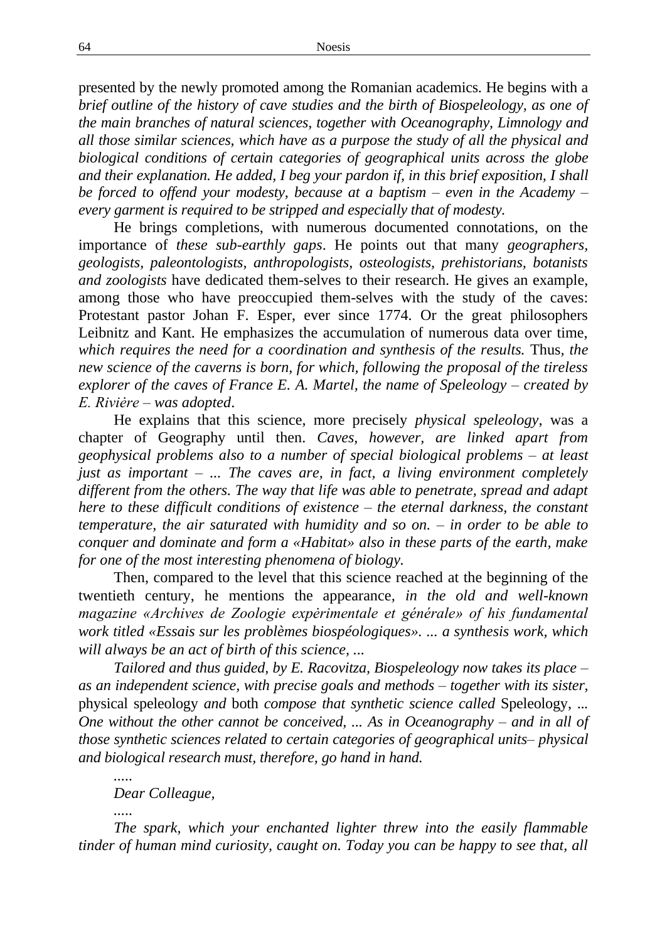presented by the newly promoted among the Romanian academics. He begins with a *brief outline of the history of cave studies and the birth of Biospeleology, as one of the main branches of natural sciences, together with Oceanography, Limnology and all those similar sciences, which have as a purpose the study of all the physical and biological conditions of certain categories of geographical units across the globe and their explanation. He added, I beg your pardon if, in this brief exposition, I shall be forced to offend your modesty, because at a baptism – even in the Academy – every garment is required to be stripped and especially that of modesty.*

He brings completions, with numerous documented connotations, on the importance of *these sub-earthly gaps*. He points out that many *geographers, geologists, paleontologists, anthropologists, osteologists, prehistorians, botanists and zoologists* have dedicated them-selves to their research. He gives an example, among those who have preoccupied them-selves with the study of the caves: Protestant pastor Johan F. Esper, ever since 1774. Or the great philosophers Leibnitz and Kant. He emphasizes the accumulation of numerous data over time, *which requires the need for a coordination and synthesis of the results.* Thus*, the new science of the caverns is born, for which, following the proposal of the tireless explorer of the caves of France E. A. Martel, the name of Speleology – created by E. Riviėre – was adopted*.

He explains that this science, more precisely *physical speleology*, was a chapter of Geography until then. *Caves, however, are linked apart from geophysical problems also to a number of special biological problems – at least just as important – ... The caves are, in fact, a living environment completely different from the others. The way that life was able to penetrate, spread and adapt here to these difficult conditions of existence – the eternal darkness, the constant temperature, the air saturated with humidity and so on. – in order to be able to conquer and dominate and form a «Habitat» also in these parts of the earth, make for one of the most interesting phenomena of biology.*

Then, compared to the level that this science reached at the beginning of the twentieth century, he mentions the appearance*, in the old and well-known magazine «Archives de Zoologie expėrimentale et générale» of his fundamental work titled «Essais sur les problèmes biospéologiques». ... a synthesis work, which will always be an act of birth of this science, ...*

*Tailored and thus guided, by E. Racovitza, Biospeleology now takes its place – as an independent science, with precise goals and methods – together with its sister,*  physical speleology *and* both *compose that synthetic science called* Speleology, ..*. One without the other cannot be conceived, ... As in Oceanography – and in all of those synthetic sciences related to certain categories of geographical units– physical and biological research must, therefore, go hand in hand.*

*Dear Colleague,*

*.....*

*.....*

*The spark, which your enchanted lighter threw into the easily flammable tinder of human mind curiosity, caught on. Today you can be happy to see that, all*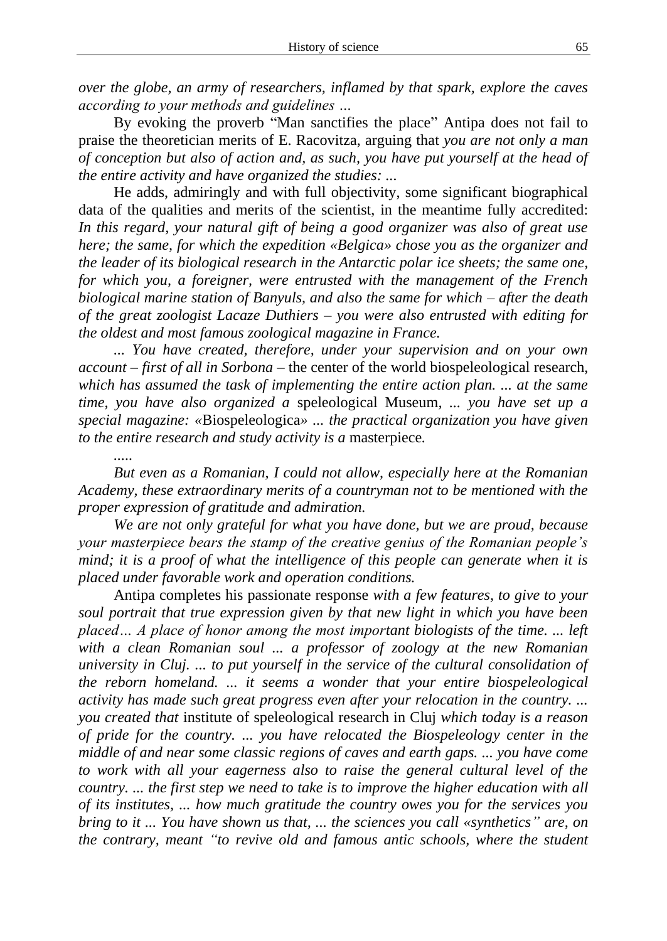*over the globe, an army of researchers, inflamed by that spark, explore the caves according to your methods and guidelines …*

By evoking the proverb "Man sanctifies the place" Antipa does not fail to praise the theoretician merits of E. Racovitza, arguing that *you are not only a man of conception but also of action and, as such, you have put yourself at the head of the entire activity and have organized the studies: ...*

He adds, admiringly and with full objectivity, some significant biographical data of the qualities and merits of the scientist, in the meantime fully accredited: *In this regard, your natural gift of being a good organizer was also of great use here; the same, for which the expedition «Belgica» chose you as the organizer and the leader of its biological research in the Antarctic polar ice sheets; the same one, for which you, a foreigner, were entrusted with the management of the French biological marine station of Banyuls, and also the same for which – after the death of the great zoologist Lacaze Duthiers – you were also entrusted with editing for the oldest and most famous zoological magazine in France.*

*... You have created, therefore, under your supervision and on your own account – first of all in Sorbona* – the center of the world biospeleological research, *which has assumed the task of implementing the entire action plan. ... at the same time, you have also organized a* speleological Museum*, ... you have set up a special magazine: «*Biospeleologica*» ... the practical organization you have given to the entire research and study activity is a* masterpiece*.*

*.....*

*But even as a Romanian, I could not allow, especially here at the Romanian Academy, these extraordinary merits of a countryman not to be mentioned with the proper expression of gratitude and admiration.*

*We are not only grateful for what you have done, but we are proud, because your masterpiece bears the stamp of the creative genius of the Romanian people's mind; it is a proof of what the intelligence of this people can generate when it is placed under favorable work and operation conditions.*

Antipa completes his passionate response *with a few features, to give to your soul portrait that true expression given by that new light in which you have been placed… A place of honor among the most important biologists of the time. ... left with a clean Romanian soul ... a professor of zoology at the new Romanian university in Cluj. ... to put yourself in the service of the cultural consolidation of the reborn homeland. ... it seems a wonder that your entire biospeleological activity has made such great progress even after your relocation in the country. ... you created that* institute of speleological research in Cluj *which today is a reason of pride for the country. ... you have relocated the Biospeleology center in the middle of and near some classic regions of caves and earth gaps. ... you have come to work with all your eagerness also to raise the general cultural level of the country. ... the first step we need to take is to improve the higher education with all of its institutes, ... how much gratitude the country owes you for the services you bring to it ... You have shown us that, ... the sciences you call «synthetics" are, on the contrary, meant "to revive old and famous antic schools, where the student*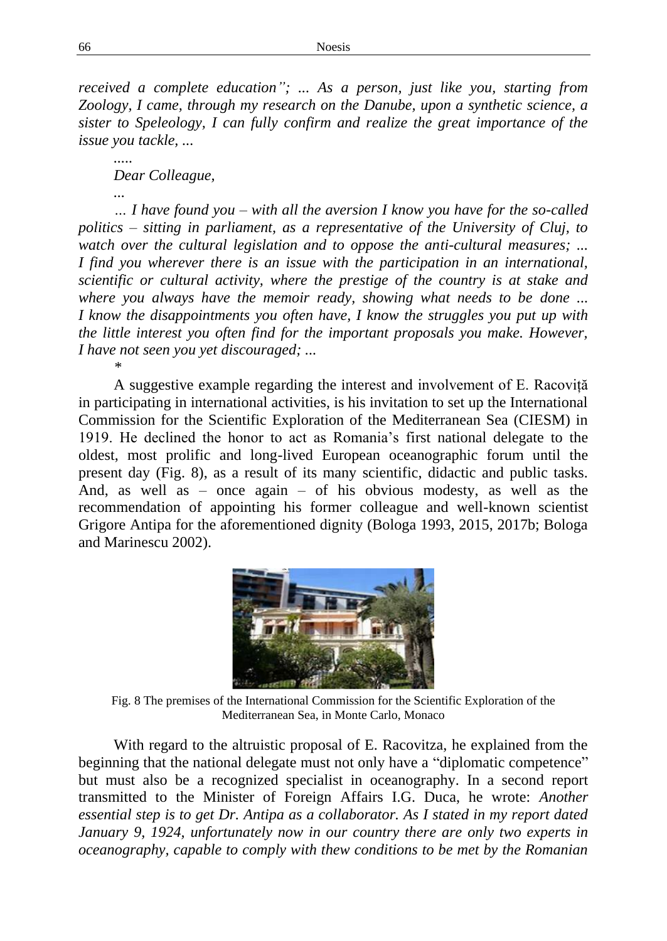*received a complete education"; ... As a person, just like you, starting from Zoology, I came, through my research on the Danube, upon a synthetic science, a sister to Speleology, I can fully confirm and realize the great importance of the issue you tackle, ...*

*..... Dear Colleague,*

*...* 

*\**

*… I have found you – with all the aversion I know you have for the so-called politics – sitting in parliament, as a representative of the University of Cluj, to watch over the cultural legislation and to oppose the anti-cultural measures; ... I find you wherever there is an issue with the participation in an international, scientific or cultural activity, where the prestige of the country is at stake and where you always have the memoir ready, showing what needs to be done ... I know the disappointments you often have, I know the struggles you put up with the little interest you often find for the important proposals you make. However, I have not seen you yet discouraged; ...*

A suggestive example regarding the interest and involvement of E. Racoviță in participating in international activities, is his invitation to set up the International Commission for the Scientific Exploration of the Mediterranean Sea (CIESM) in 1919. He declined the honor to act as Romania's first national delegate to the oldest, most prolific and long-lived European oceanographic forum until the present day (Fig. 8), as a result of its many scientific, didactic and public tasks. And, as well as – once again – of his obvious modesty, as well as the recommendation of appointing his former colleague and well-known scientist Grigore Antipa for the aforementioned dignity (Bologa 1993, 2015, 2017b; Bologa and Marinescu 2002).



Fig. 8 The premises of the International Commission for the Scientific Exploration of the Mediterranean Sea, in Monte Carlo, Monaco

With regard to the altruistic proposal of E. Racovitza, he explained from the beginning that the national delegate must not only have a "diplomatic competence" but must also be a recognized specialist in oceanography. In a second report transmitted to the Minister of Foreign Affairs I.G. Duca, he wrote: *Another essential step is to get Dr. Antipa as a collaborator. As I stated in my report dated January 9, 1924, unfortunately now in our country there are only two experts in oceanography, capable to comply with thew conditions to be met by the Romanian*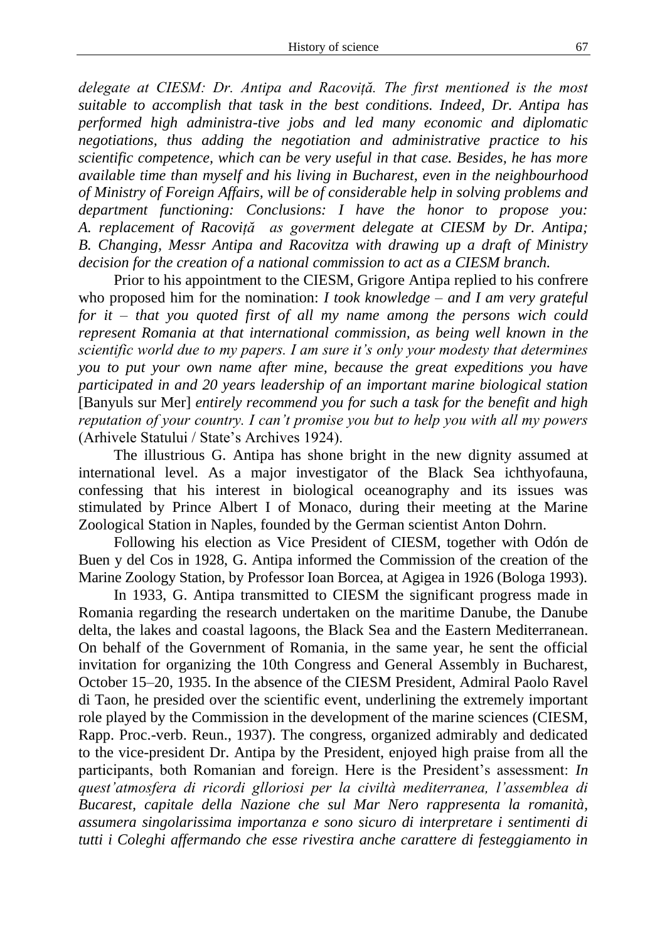*delegate at CIESM: Dr. Antipa and Racoviță. The first mentioned is the most suitable to accomplish that task in the best conditions. Indeed, Dr. Antipa has performed high administra-tive jobs and led many economic and diplomatic negotiations, thus adding the negotiation and administrative practice to his scientific competence, which can be very useful in that case. Besides, he has more available time than myself and his living in Bucharest, even in the neighbourhood of Ministry of Foreign Affairs, will be of considerable help in solving problems and department functioning: Conclusions: I have the honor to propose you: A. replacement of Racoviță as goverment delegate at CIESM by Dr. Antipa; B. Changing, Messr Antipa and Racovitza with drawing up a draft of Ministry decision for the creation of a national commission to act as a CIESM branch.*

Prior to his appointment to the CIESM, Grigore Antipa replied to his confrere who proposed him for the nomination: *I took knowledge – and I am very grateful for it – that you quoted first of all my name among the persons wich could represent Romania at that international commission, as being well known in the scientific world due to my papers. I am sure it's only your modesty that determines you to put your own name after mine, because the great expeditions you have participated in and 20 years leadership of an important marine biological station*  [Banyuls sur Mer] *entirely recommend you for such a task for the benefit and high reputation of your country. I can't promise you but to help you with all my powers*  (Arhivele Statului / State's Archives 1924).

The illustrious G. Antipa has shone bright in the new dignity assumed at international level. As a major investigator of the Black Sea ichthyofauna, confessing that his interest in biological oceanography and its issues was stimulated by Prince Albert I of Monaco, during their meeting at the Marine Zoological Station in Naples, founded by the German scientist Anton Dohrn.

Following his election as Vice President of CIESM, together with Odón de Buen y del Cos in 1928, G. Antipa informed the Commission of the creation of the Marine Zoology Station, by Professor Ioan Borcea, at Agigea in 1926 (Bologa 1993).

In 1933, G. Antipa transmitted to CIESM the significant progress made in Romania regarding the research undertaken on the maritime Danube, the Danube delta, the lakes and coastal lagoons, the Black Sea and the Eastern Mediterranean. On behalf of the Government of Romania, in the same year, he sent the official invitation for organizing the 10th Congress and General Assembly in Bucharest, October 15–20, 1935. In the absence of the CIESM President, Admiral Paolo Ravel di Taon, he presided over the scientific event, underlining the extremely important role played by the Commission in the development of the marine sciences (CIESM, Rapp. Proc.-verb. Reun., 1937). The congress, organized admirably and dedicated to the vice-president Dr. Antipa by the President, enjoyed high praise from all the participants, both Romanian and foreign. Here is the President's assessment: *In quest'atmosfera di ricordi glloriosi per la civiltà mediterranea, l'assemblea di Bucarest, capitale della Nazione che sul Mar Nero rappresenta la romanità, assumera singolarissima importanza e sono sicuro di interpretare i sentimenti di tutti i Coleghi affermando che esse rivestira anche carattere di festeggiamento in*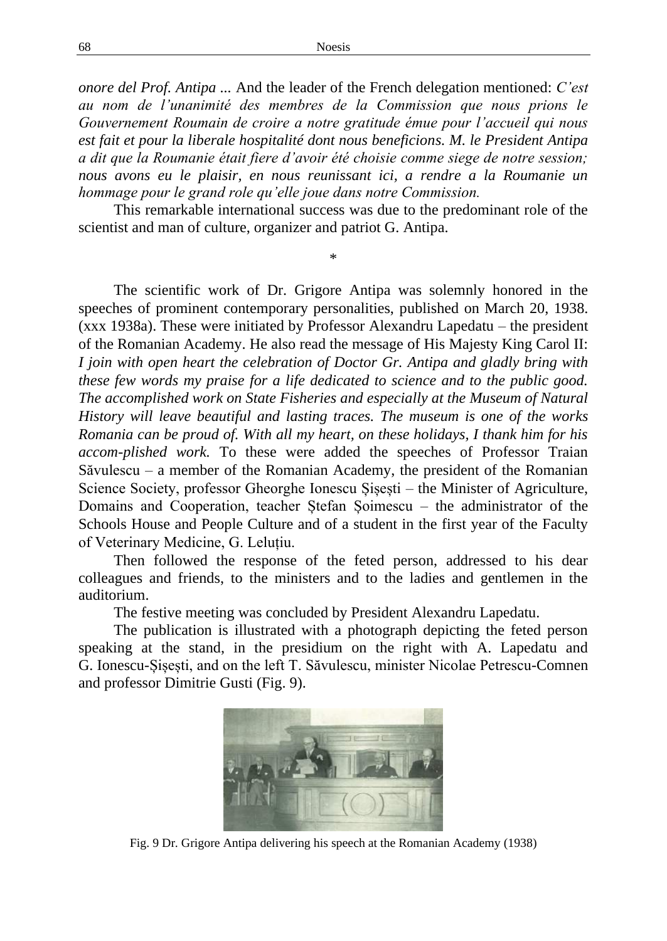*onore del Prof. Antipa ...* And the leader of the French delegation mentioned: *C'est au nom de l'unanimité des membres de la Commission que nous prions le Gouvernement Roumain de croire a notre gratitude émue pour l'accueil qui nous est fait et pour la liberale hospitalité dont nous beneficions. M. le President Antipa a dit que la Roumanie était fiere d'avoir été choisie comme siege de notre session; nous avons eu le plaisir, en nous reunissant ici, a rendre a la Roumanie un hommage pour le grand role qu'elle joue dans notre Commission.*

This remarkable international success was due to the predominant role of the scientist and man of culture, organizer and patriot G. Antipa.

\*

The scientific work of Dr. Grigore Antipa was solemnly honored in the speeches of prominent contemporary personalities, published on March 20, 1938. (xxx 1938a). These were initiated by Professor Alexandru Lapedatu – the president of the Romanian Academy. He also read the message of His Majesty King Carol II: *I join with open heart the celebration of Doctor Gr. Antipa and gladly bring with these few words my praise for a life dedicated to science and to the public good. The accomplished work on State Fisheries and especially at the Museum of Natural History will leave beautiful and lasting traces. The museum is one of the works Romania can be proud of. With all my heart, on these holidays, I thank him for his accom-plished work.* To these were added the speeches of Professor Traian Săvulescu – a member of the Romanian Academy, the president of the Romanian Science Society, professor Gheorghe Ionescu Șișești – the Minister of Agriculture, Domains and Cooperation, teacher Ștefan Șoimescu – the administrator of the Schools House and People Culture and of a student in the first year of the Faculty of Veterinary Medicine, G. Leluțiu.

Then followed the response of the feted person, addressed to his dear colleagues and friends, to the ministers and to the ladies and gentlemen in the auditorium.

The festive meeting was concluded by President Alexandru Lapedatu.

The publication is illustrated with a photograph depicting the feted person speaking at the stand, in the presidium on the right with A. Lapedatu and G. Ionescu-Șișești, and on the left T. Săvulescu, minister Nicolae Petrescu-Comnen and professor Dimitrie Gusti (Fig. 9).



Fig. 9 Dr. Grigore Antipa delivering his speech at the Romanian Academy (1938)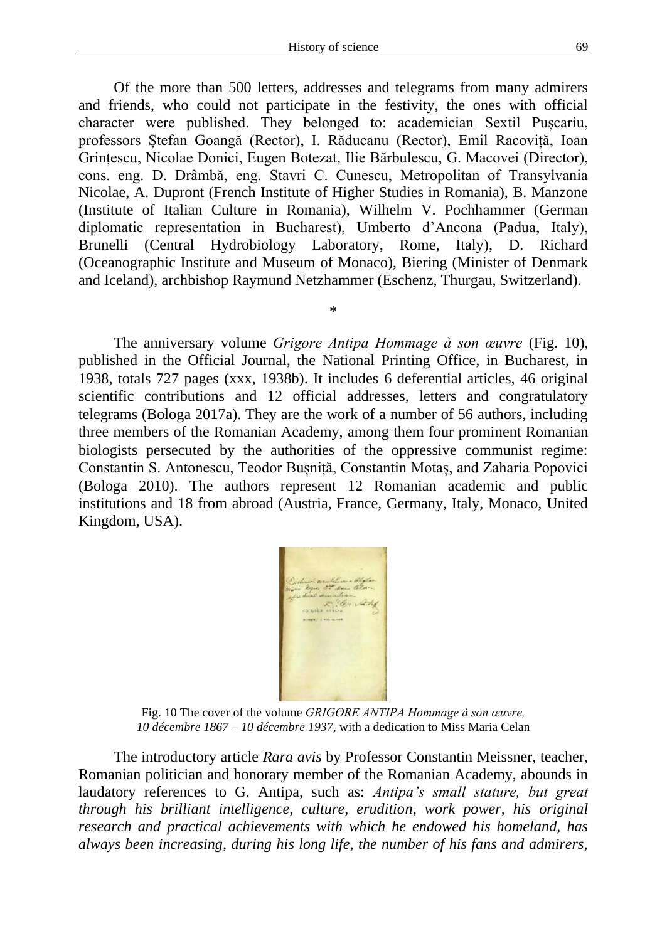Of the more than 500 letters, addresses and telegrams from many admirers and friends, who could not participate in the festivity, the ones with official character were published. They belonged to: academician Sextil Puscariu, professors Ștefan Goangă (Rector), I. Răducanu (Rector), Emil Racoviță, Ioan Grințescu, Nicolae Donici, Eugen Botezat, Ilie Bărbulescu, G. Macovei (Director), cons. eng. D. Drâmbă, eng. Stavri C. Cunescu, Metropolitan of Transylvania Nicolae, A. Dupront (French Institute of Higher Studies in Romania), B. Manzone (Institute of Italian Culture in Romania), Wilhelm V. Pochhammer (German diplomatic representation in Bucharest), Umberto d'Ancona (Padua, Italy), Brunelli (Central Hydrobiology Laboratory, Rome, Italy), D. Richard (Oceanographic Institute and Museum of Monaco), Biering (Minister of Denmark and Iceland), archbishop Raymund Netzhammer (Eschenz, Thurgau, Switzerland).

\*

The anniversary volume *Grigore Antipa Hommage à son œuvre* (Fig. 10), published in the Official Journal, the National Printing Office, in Bucharest, in 1938, totals 727 pages (xxx, 1938b). It includes 6 deferential articles, 46 original scientific contributions and 12 official addresses, letters and congratulatory telegrams (Bologa 2017a). They are the work of a number of 56 authors, including three members of the Romanian Academy, among them four prominent Romanian biologists persecuted by the authorities of the oppressive communist regime: Constantin S. Antonescu, Teodor Bușniță, Constantin Motaș, and Zaharia Popovici (Bologa 2010). The authors represent 12 Romanian academic and public institutions and 18 from abroad (Austria, France, Germany, Italy, Monaco, United Kingdom, USA).



Fig. 10 The cover of the volume *GRIGORE ANTIPA Hommage à son œuvre, 10 décembre 1867 – 10 décembre 1937,* with a dedication to Miss Maria Celan

The introductory article *Rara avis* by Professor Constantin Meissner, teacher, Romanian politician and honorary member of the Romanian Academy, abounds in laudatory references to G. Antipa, such as: *Antipa's small stature, but great through his brilliant intelligence, culture, erudition, work power, his original research and practical achievements with which he endowed his homeland, has always been increasing, during his long life, the number of his fans and admirers,*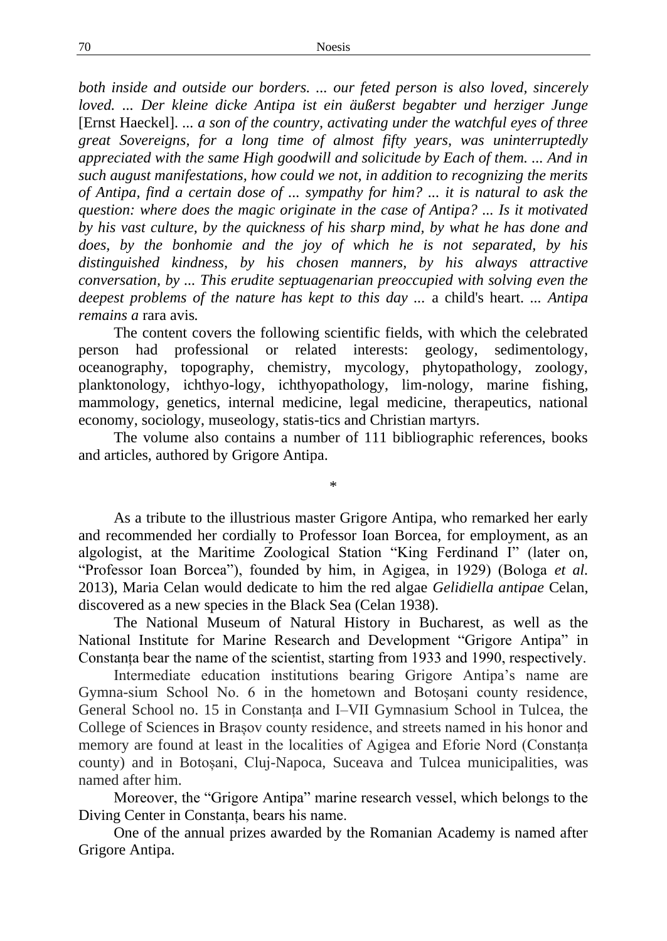*both inside and outside our borders. ... our feted person is also loved, sincerely loved. ... Der kleine dicke Antipa ist ein äußerst begabter und herziger Junge*  [Ernst Haeckel]. *... a son of the country, activating under the watchful eyes of three great Sovereigns, for a long time of almost fifty years, was uninterruptedly appreciated with the same High goodwill and solicitude by Each of them. ... And in such august manifestations, how could we not, in addition to recognizing the merits of Antipa, find a certain dose of ... sympathy for him? ... it is natural to ask the question: where does the magic originate in the case of Antipa? ... Is it motivated by his vast culture, by the quickness of his sharp mind, by what he has done and does, by the bonhomie and the joy of which he is not separated, by his distinguished kindness, by his chosen manners, by his always attractive conversation, by ... This erudite septuagenarian preoccupied with solving even the deepest problems of the nature has kept to this day ...* a child's heart. *... Antipa remains a* rara avis*.*

The content covers the following scientific fields, with which the celebrated person had professional or related interests: geology, sedimentology, oceanography, topography, chemistry, mycology, phytopathology, zoology, planktonology, ichthyo-logy, ichthyopathology, lim-nology, marine fishing, mammology, genetics, internal medicine, legal medicine, therapeutics, national economy, sociology, museology, statis-tics and Christian martyrs.

The volume also contains a number of 111 bibliographic references, books and articles, authored by Grigore Antipa.

\*

As a tribute to the illustrious master Grigore Antipa, who remarked her early and recommended her cordially to Professor Ioan Borcea, for employment, as an algologist, at the Maritime Zoological Station "King Ferdinand I" (later on, "Professor Ioan Borcea"), founded by him, in Agigea, in 1929) (Bologa *et al.* 2013), Maria Celan would dedicate to him the red algae *Gelidiella antipae* Celan, discovered as a new species in the Black Sea (Celan 1938).

The National Museum of Natural History in Bucharest, as well as the National Institute for Marine Research and Development "Grigore Antipa" in Constanța bear the name of the scientist, starting from 1933 and 1990, respectively.

Intermediate education institutions bearing Grigore Antipa's name are Gymna-sium School No. 6 in the hometown and Botoșani county residence, General School no. 15 in Constanța and I–VII Gymnasium School in Tulcea, the College of Sciences in Brașov county residence, and streets named in his honor and memory are found at least in the localities of Agigea and Eforie Nord (Constanța county) and in Botoșani, Cluj-Napoca, Suceava and Tulcea municipalities, was named after him.

Moreover, the "Grigore Antipa" marine research vessel, which belongs to the Diving Center in Constanța, bears his name.

One of the annual prizes awarded by the Romanian Academy is named after Grigore Antipa.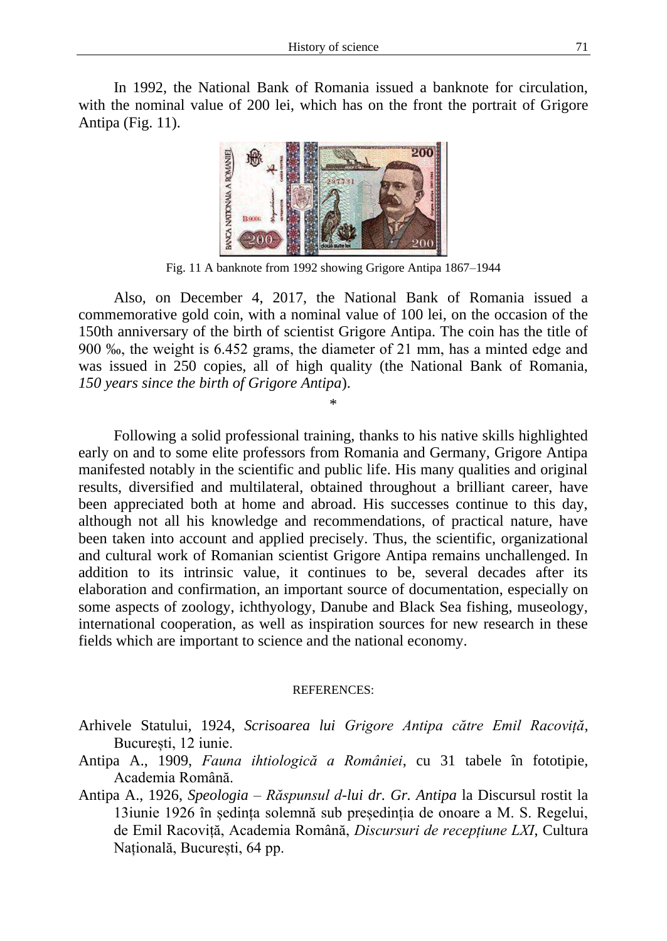In 1992, the National Bank of Romania issued a banknote for circulation, with the nominal value of 200 lei, which has on the front the portrait of Grigore Antipa (Fig. 11).



Fig. 11 A banknote from 1992 showing Grigore Antipa 1867–1944

Also, on December 4, 2017, the National Bank of Romania issued a commemorative gold coin, with a nominal value of 100 lei, on the occasion of the 150th anniversary of the birth of scientist Grigore Antipa. The coin has the title of 900 ‰, the weight is 6.452 grams, the diameter of 21 mm, has a minted edge and was issued in 250 copies, all of high quality (the National Bank of Romania, *150 years since the birth of Grigore Antipa*).

\*

Following a solid professional training, thanks to his native skills highlighted early on and to some elite professors from Romania and Germany, Grigore Antipa manifested notably in the scientific and public life. His many qualities and original results, diversified and multilateral, obtained throughout a brilliant career, have been appreciated both at home and abroad. His successes continue to this day, although not all his knowledge and recommendations, of practical nature, have been taken into account and applied precisely. Thus, the scientific, organizational and cultural work of Romanian scientist Grigore Antipa remains unchallenged. In addition to its intrinsic value, it continues to be, several decades after its elaboration and confirmation, an important source of documentation, especially on some aspects of zoology, ichthyology, Danube and Black Sea fishing, museology, international cooperation, as well as inspiration sources for new research in these fields which are important to science and the national economy.

## REFERENCES:

- Arhivele Statului, 1924, *Scrisoarea lui Grigore Antipa către Emil Racoviță*, București, 12 iunie.
- Antipa A., 1909, *Fauna ihtiologică a României*, cu 31 tabele în fototipie, Academia Română.
- Antipa A., 1926, *Speologia Răspunsul d-lui dr. Gr. Antipa* la Discursul rostit la 13iunie 1926 în ședința solemnă sub președinția de onoare a M. S. Regelui, de Emil Racoviță, Academia Română, *Discursuri de recepțiune LXI*, Cultura Națională, București, 64 pp.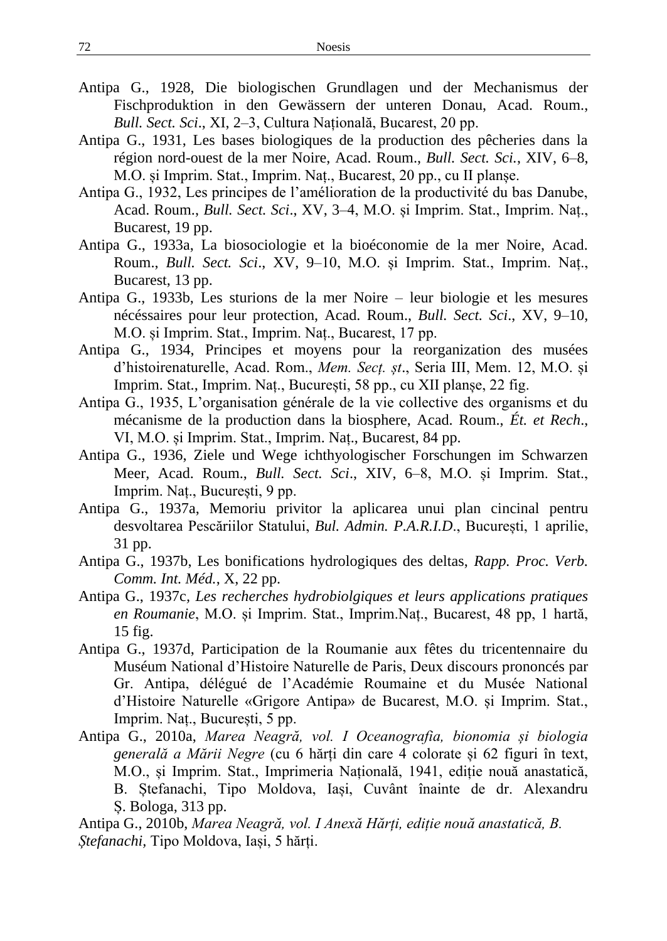- Antipa G., 1928, Die biologischen Grundlagen und der Mechanismus der Fischproduktion in den Gewässern der unteren Donau, Acad. Roum., *Bull. Sect. Sci*., XI, 2–3, Cultura Națională, Bucarest, 20 pp.
- Antipa G., 1931, Les bases biologiques de la production des pêcheries dans la région nord-ouest de la mer Noire, Acad. Roum., *Bull. Sect. Sci.*, XIV, 6–8, M.O. și Imprim. Stat., Imprim. Naț., Bucarest, 20 pp., cu II planșe.
- Antipa G., 1932, Les principes de l'amélioration de la productivité du bas Danube, Acad. Roum., *Bull. Sect. Sci*., XV, 3–4, M.O. și Imprim. Stat., Imprim. Naț., Bucarest, 19 pp.
- Antipa G., 1933a, La biosociologie et la bioéconomie de la mer Noire, Acad. Roum., *Bull. Sect. Sci*., XV, 9–10, M.O. și Imprim. Stat., Imprim. Naț., Bucarest, 13 pp.
- Antipa G., 1933b, Les sturions de la mer Noire leur biologie et les mesures nécéssaires pour leur protection, Acad. Roum., *Bull. Sect. Sci*., XV, 9–10, M.O. și Imprim. Stat., Imprim. Naț., Bucarest, 17 pp.
- Antipa G., 1934, Principes et moyens pour la reorganization des musées d'histoirenaturelle, Acad. Rom., *Mem. Secț. șt*., Seria III, Mem. 12, M.O. și Imprim. Stat., Imprim. Naț., București, 58 pp., cu XII planșe, 22 fig.
- Antipa G., 1935, L'organisation générale de la vie collective des organisms et du mécanisme de la production dans la biosphere, Acad. Roum., *Ét. et Rech*., VI, M.O. și Imprim. Stat., Imprim. Naț., Bucarest, 84 pp.
- Antipa G., 1936, Ziele und Wege ichthyologischer Forschungen im Schwarzen Meer, Acad. Roum., *Bull. Sect. Sci*., XIV, 6–8, M.O. și Imprim. Stat., Imprim. Naț., București, 9 pp.
- Antipa G., 1937a, Memoriu privitor la aplicarea unui plan cincinal pentru desvoltarea Pescăriilor Statului, *Bul. Admin. P.A.R.I.D*., București, 1 aprilie, 31 pp.
- Antipa G., 1937b, Les bonifications hydrologiques des deltas, *Rapp. Proc. Verb. Comm. Int. Méd.*, X, 22 pp.
- Antipa G., 1937c*, Les recherches hydrobiolgiques et leurs applications pratiques en Roumanie*, M.O. și Imprim. Stat., Imprim.Naț., Bucarest, 48 pp, 1 hartă, 15 fig.
- Antipa G., 1937d, Participation de la Roumanie aux fêtes du tricentennaire du Muséum National d'Histoire Naturelle de Paris, Deux discours prononcés par Gr. Antipa, délégué de l'Académie Roumaine et du Musée National d'Histoire Naturelle «Grigore Antipa» de Bucarest, M.O. și Imprim. Stat., Imprim. Naț., București, 5 pp.
- Antipa G., 2010a, *Marea Neagră, vol. I Oceanografia, bionomia și biologia generală a Mării Negre* (cu 6 hărți din care 4 colorate și 62 figuri în text, M.O., și Imprim. Stat., Imprimeria Națională, 1941, ediție nouă anastatică, B. Ștefanachi, Tipo Moldova, Iași, Cuvânt înainte de dr. Alexandru Ș. Bologa, 313 pp.

Antipa G., 2010b, *Marea Neagră, vol. I Anexă Hărți, ediție nouă anastatică, B. Ștefanachi,* Tipo Moldova, Iași, 5 hărți.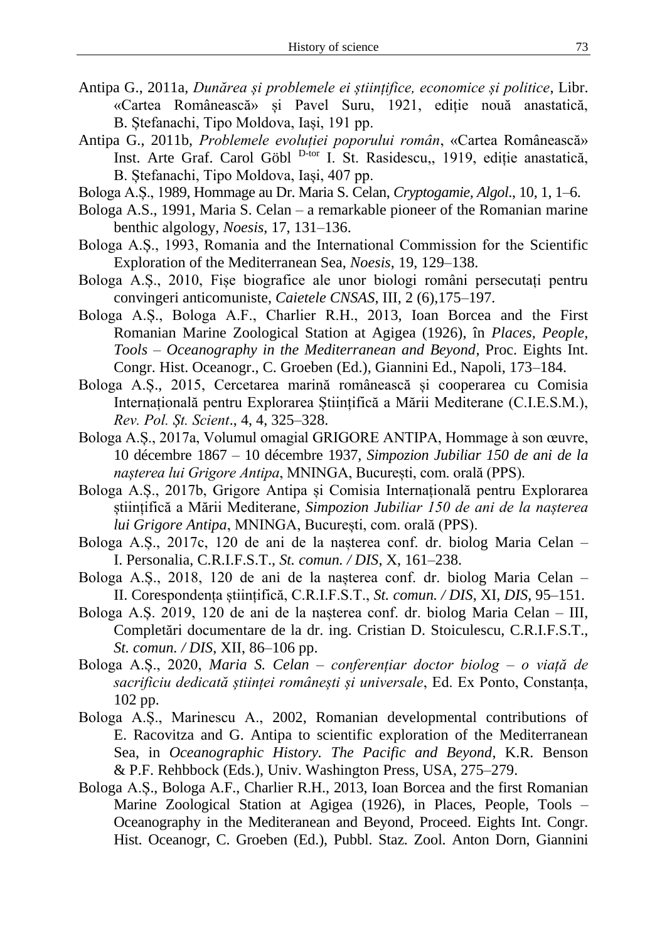- Antipa G., 2011a, *Dunărea și problemele ei științifice, economice și politice*, Libr. «Cartea Românească» și Pavel Suru, 1921, ediție nouă anastatică, B. Stefanachi, Tipo Moldova, Iași, 191 pp.
- Antipa G., 2011b, *Problemele evoluției poporului român*, «Cartea Românească» Inst. Arte Graf. Carol Göbl <sup>D-tor</sup> I. St. Rasidescu,, 1919, ediție anastatică, B. Ștefanachi, Tipo Moldova, Iași, 407 pp.
- Bologa A.Ș., 1989, Hommage au Dr. Maria S. Celan, *Cryptogamie, Algol*., 10, 1, 1–6.
- Bologa A.S., 1991, Maria S. Celan a remarkable pioneer of the Romanian marine benthic algology, *Noesis*, 17, 131–136.
- Bologa A.Ș., 1993, Romania and the International Commission for the Scientific Exploration of the Mediterranean Sea, *Noesis*, 19, 129–138.
- Bologa A.Ș., 2010, Fișe biografice ale unor biologi români persecutați pentru convingeri anticomuniste, *Caietele CNSAS*, III, 2 (6),175–197.
- Bologa A.Ș., Bologa A.F., Charlier R.H., 2013, Ioan Borcea and the First Romanian Marine Zoological Station at Agigea (1926), în *Places, People, Tools – Oceanography in the Mediterranean and Beyond*, Proc. Eights Int. Congr. Hist. Oceanogr., C. Groeben (Ed.), Giannini Ed., Napoli, 173–184.
- Bologa A.Ș., 2015, Cercetarea marină românească și cooperarea cu Comisia Internațională pentru Explorarea Științifică a Mării Mediterane (C.I.E.S.M.), *Rev. Pol. Șt. Scient*., 4, 4, 325–328.
- Bologa A.Ș., 2017a, Volumul omagial GRIGORE ANTIPA, Hommage à son œuvre, 10 décembre 1867 – 10 décembre 1937, *Simpozion Jubiliar 150 de ani de la nașterea lui Grigore Antipa*, MNINGA, București, com. orală (PPS).
- Bologa A.Ș., 2017b, Grigore Antipa și Comisia Internațională pentru Explorarea științifică a Mării Mediterane*, Simpozion Jubiliar 150 de ani de la nașterea lui Grigore Antipa*, MNINGA, București, com. orală (PPS).
- Bologa A.Ș., 2017c, 120 de ani de la nașterea conf. dr. biolog Maria Celan I. Personalia, C.R.I.F.S.T., *St. comun. / DIS*, X, 161–238.
- Bologa A.Ș., 2018, 120 de ani de la nașterea conf. dr. biolog Maria Celan II. Corespondența științifică, C.R.I.F.S.T., *St. comun. / DIS*, XI, *DIS*, 95–151.
- Bologa A.Ș. 2019, 120 de ani de la nașterea conf. dr. biolog Maria Celan III, Completări documentare de la dr. ing. Cristian D. Stoiculescu, C.R.I.F.S.T., *St. comun. / DIS*, XII, 86–106 pp.
- Bologa A.Ș., 2020, *Maria S. Celan – conferențiar doctor biolog – o viață de sacrificiu dedicată științei românești și universale*, Ed. Ex Ponto, Constanța, 102 pp.
- Bologa A.Ș., Marinescu A., 2002, Romanian developmental contributions of E. Racovitza and G. Antipa to scientific exploration of the Mediterranean Sea, in *Oceanographic History. The Pacific and Beyond*, K.R. Benson & P.F. Rehbbock (Eds.), Univ. Washington Press, USA, 275–279.
- Bologa A.Ș., Bologa A.F., Charlier R.H., 2013, Ioan Borcea and the first Romanian Marine Zoological Station at Agigea (1926), in Places, People, Tools – Oceanography in the Mediteranean and Beyond, Proceed. Eights Int. Congr. Hist. Oceanogr, C. Groeben (Ed.), Pubbl. Staz. Zool. Anton Dorn, Giannini